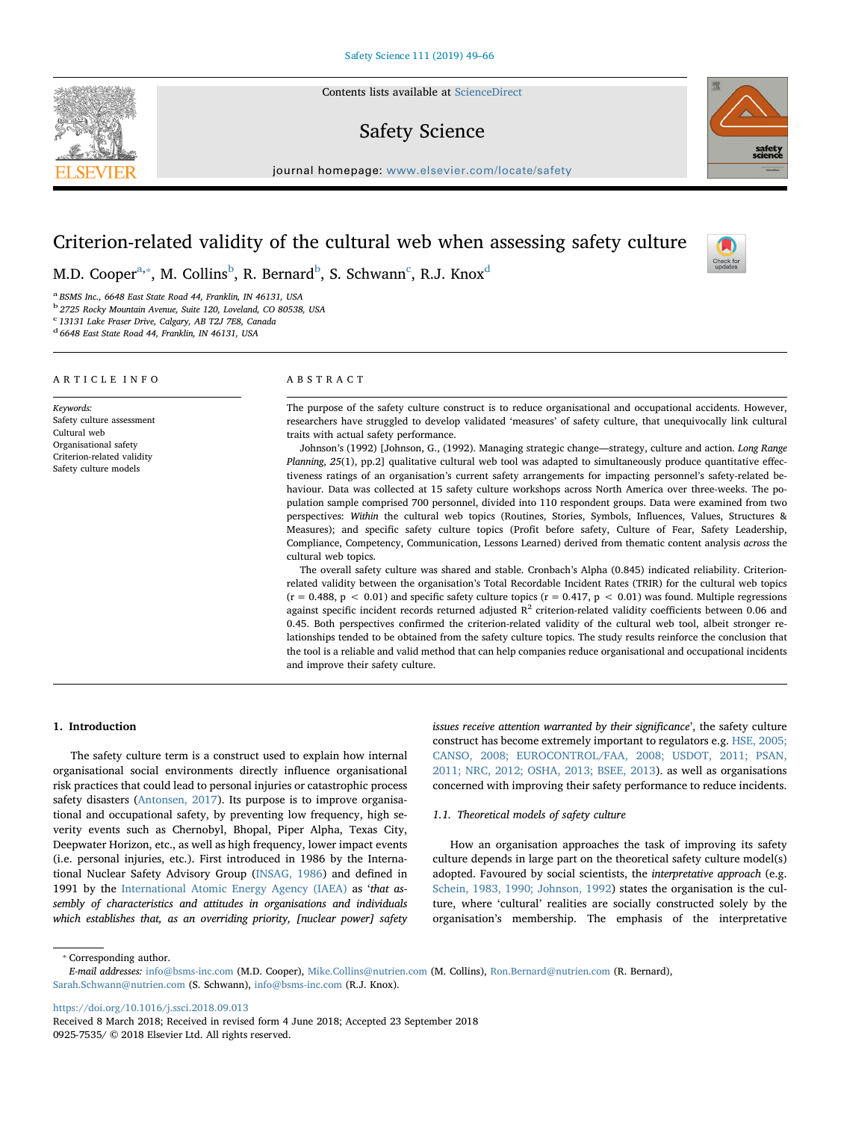Contents lists available at [ScienceDirect](http://www.sciencedirect.com/science/journal/09257535)

# Safety Science

 $j<sub>i</sub>$  and  $k<sub>i</sub>$  in the parameter.com/locate/safety/safety/safety/safety/safety/safety/safety/safety/safety/safety/safety/safety/safety/safety/safety/safety/safety/safety/safety/safety/safety/safety/safety/safety/s

# Criterion-related validity of the cultural web when assessing safety culture

M.D. Cooper $\text{a},\text{*},$  M. Collins $\text{b}$  $\text{b}$  $\text{b}$ , R. Bernar[d](#page-0-4) $\text{b}$ , S. S[c](#page-0-3)hwann $\text{c}$ , R.J. Knox $\text{d}$ 

<span id="page-0-0"></span><sup>a</sup> BSMS Inc., 6648 East State Road 44, Franklin, IN 46131, USA

<span id="page-0-2"></span><sup>b</sup> 2725 Rocky Mountain Avenue, Suite 120, Loveland, CO 80538, USA

<span id="page-0-3"></span><sup>c</sup> 13131 Lake Fraser Drive, Calgary, AB T2J 7E8, Canada

<span id="page-0-4"></span><sup>d</sup> 6648 East State Road 44, Franklin, IN 46131, USA

# ARTICLE INFO

Keywords: Safety culture assessment Cultural web Organisational safety Criterion-related validity Safety culture models

# ABSTRACT

The purpose of the safety culture construct is to reduce organisational and occupational accidents. However, researchers have struggled to develop validated 'measures' of safety culture, that unequivocally link cultural traits with actual safety performance.

Johnson's (1992) [Johnson, G., (1992). Managing strategic change—strategy, culture and action. Long Range Planning, 25(1), pp.2] qualitative cultural web tool was adapted to simultaneously produce quantitative effectiveness ratings of an organisation's current safety arrangements for impacting personnel's safety-related behaviour. Data was collected at 15 safety culture workshops across North America over three-weeks. The population sample comprised 700 personnel, divided into 110 respondent groups. Data were examined from two perspectives: Within the cultural web topics (Routines, Stories, Symbols, Influences, Values, Structures & Measures); and specific safety culture topics (Profit before safety, Culture of Fear, Safety Leadership, Compliance, Competency, Communication, Lessons Learned) derived from thematic content analysis across the cultural web topics.

The overall safety culture was shared and stable. Cronbach's Alpha (0.845) indicated reliability. Criterionrelated validity between the organisation's Total Recordable Incident Rates (TRIR) for the cultural web topics  $(r = 0.488, p < 0.01)$  and specific safety culture topics  $(r = 0.417, p < 0.01)$  was found. Multiple regressions against specific incident records returned adjusted  $R^2$  criterion-related validity coefficients between 0.06 and 0.45. Both perspectives confirmed the criterion-related validity of the cultural web tool, albeit stronger relationships tended to be obtained from the safety culture topics. The study results reinforce the conclusion that the tool is a reliable and valid method that can help companies reduce organisational and occupational incidents and improve their safety culture.

# 1. Introduction

The safety culture term is a construct used to explain how internal organisational social environments directly influence organisational risk practices that could lead to personal injuries or catastrophic process safety disasters ([Antonsen, 2017](#page-15-0)). Its purpose is to improve organisational and occupational safety, by preventing low frequency, high severity events such as Chernobyl, Bhopal, Piper Alpha, Texas City, Deepwater Horizon, etc., as well as high frequency, lower impact events (i.e. personal injuries, etc.). First introduced in 1986 by the International Nuclear Safety Advisory Group [\(INSAG, 1986\)](#page-16-0) and defined in 1991 by the [International Atomic Energy Agency \(IAEA\)](#page-16-1) as 'that assembly of characteristics and attitudes in organisations and individuals which establishes that, as an overriding priority, [nuclear power] safety issues receive attention warranted by their significance', the safety culture construct has become extremely important to regulators e.g. [HSE, 2005;](#page-16-2) [CANSO, 2008; EUROCONTROL/FAA, 2008; USDOT, 2011; PSAN,](#page-16-2) [2011; NRC, 2012; OSHA, 2013; BSEE, 2013\)](#page-16-2). as well as organisations concerned with improving their safety performance to reduce incidents.

# 1.1. Theoretical models of safety culture

How an organisation approaches the task of improving its safety culture depends in large part on the theoretical safety culture model(s) adopted. Favoured by social scientists, the interpretative approach (e.g. [Schein, 1983, 1990; Johnson, 1992](#page-16-3)) states the organisation is the culture, where 'cultural' realities are socially constructed solely by the organisation's membership. The emphasis of the interpretative

<span id="page-0-1"></span>⁎ Corresponding author.

<https://doi.org/10.1016/j.ssci.2018.09.013>







E-mail addresses: [info@bsms-inc.com](mailto:info@bsms-inc.com) (M.D. Cooper), [Mike.Collins@nutrien.com](mailto:Mike.Collins@nutrien.com) (M. Collins), [Ron.Bernard@nutrien.com](mailto:Ron.Bernard@nutrien.com) (R. Bernard), [Sarah.Schwann@nutrien.com](mailto:Sarah.Schwann@nutrien.com) (S. Schwann), [info@bsms-inc.com](mailto:info@bsms-inc.com) (R.J. Knox).

Received 8 March 2018; Received in revised form 4 June 2018; Accepted 23 September 2018 0925-7535/ © 2018 Elsevier Ltd. All rights reserved.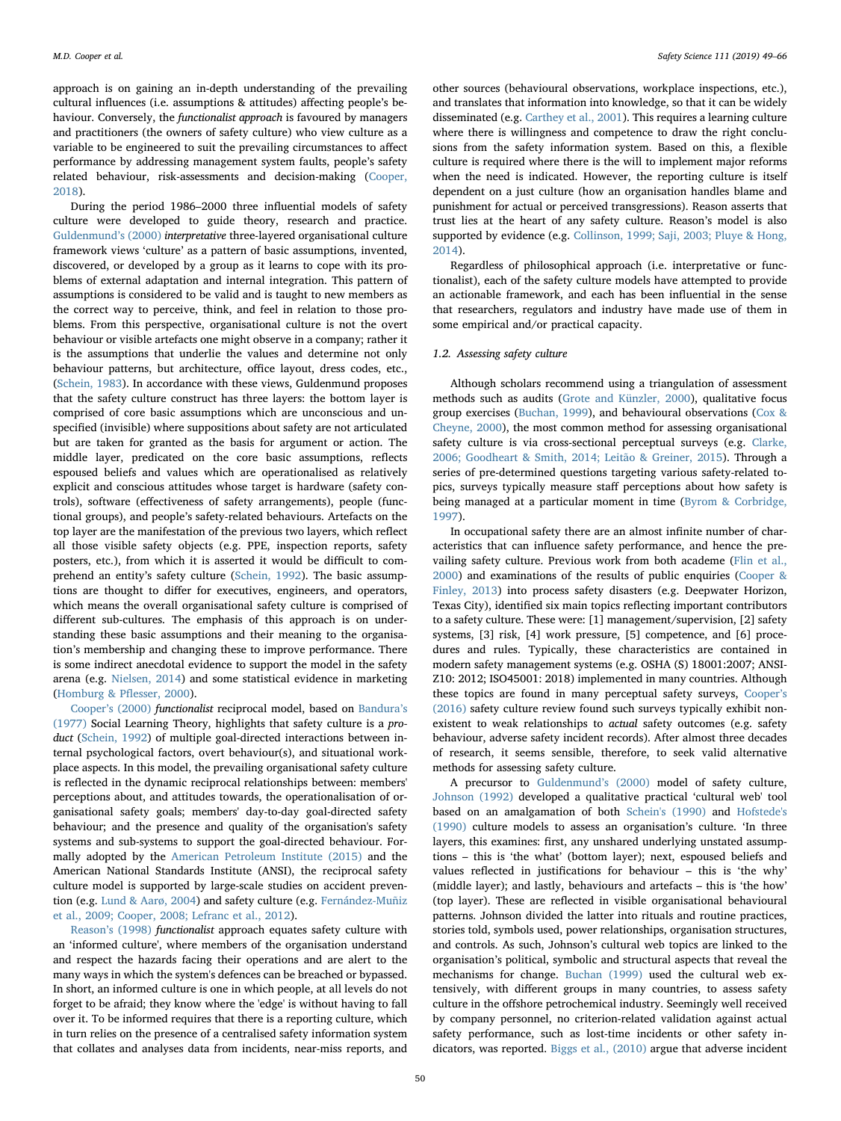approach is on gaining an in-depth understanding of the prevailing cultural influences (i.e. assumptions & attitudes) affecting people's behaviour. Conversely, the functionalist approach is favoured by managers and practitioners (the owners of safety culture) who view culture as a variable to be engineered to suit the prevailing circumstances to affect performance by addressing management system faults, people's safety related behaviour, risk-assessments and decision-making [\(Cooper,](#page-15-1) [2018\)](#page-15-1).

During the period 1986–2000 three influential models of safety culture were developed to guide theory, research and practice. [Guldenmund](#page-16-4)'s (2000) interpretative three-layered organisational culture framework views 'culture' as a pattern of basic assumptions, invented, discovered, or developed by a group as it learns to cope with its problems of external adaptation and internal integration. This pattern of assumptions is considered to be valid and is taught to new members as the correct way to perceive, think, and feel in relation to those problems. From this perspective, organisational culture is not the overt behaviour or visible artefacts one might observe in a company; rather it is the assumptions that underlie the values and determine not only behaviour patterns, but architecture, office layout, dress codes, etc., ([Schein, 1983\)](#page-16-3). In accordance with these views, Guldenmund proposes that the safety culture construct has three layers: the bottom layer is comprised of core basic assumptions which are unconscious and unspecified (invisible) where suppositions about safety are not articulated but are taken for granted as the basis for argument or action. The middle layer, predicated on the core basic assumptions, reflects espoused beliefs and values which are operationalised as relatively explicit and conscious attitudes whose target is hardware (safety controls), software (effectiveness of safety arrangements), people (functional groups), and people's safety-related behaviours. Artefacts on the top layer are the manifestation of the previous two layers, which reflect all those visible safety objects (e.g. PPE, inspection reports, safety posters, etc.), from which it is asserted it would be difficult to comprehend an entity's safety culture ([Schein, 1992](#page-16-5)). The basic assumptions are thought to differ for executives, engineers, and operators, which means the overall organisational safety culture is comprised of different sub-cultures. The emphasis of this approach is on understanding these basic assumptions and their meaning to the organisation's membership and changing these to improve performance. There is some indirect anecdotal evidence to support the model in the safety arena (e.g. [Nielsen, 2014](#page-16-6)) and some statistical evidence in marketing ([Homburg & P](#page-16-7)flesser, 2000).

[Cooper](#page-15-2)'s (2000) functionalist reciprocal model, based on [Bandura](#page-15-3)'s [\(1977\)](#page-15-3) Social Learning Theory, highlights that safety culture is a product ([Schein, 1992](#page-16-5)) of multiple goal-directed interactions between internal psychological factors, overt behaviour(s), and situational workplace aspects. In this model, the prevailing organisational safety culture is reflected in the dynamic reciprocal relationships between: members' perceptions about, and attitudes towards, the operationalisation of organisational safety goals; members' day-to-day goal-directed safety behaviour; and the presence and quality of the organisation's safety systems and sub-systems to support the goal-directed behaviour. Formally adopted by the [American Petroleum Institute \(2015\)](#page-15-4) and the American National Standards Institute (ANSI), the reciprocal safety culture model is supported by large-scale studies on accident prevention (e.g. [Lund & Aarø, 2004\)](#page-16-8) and safety culture (e.g. [Fernández-Muñiz](#page-16-9) [et al., 2009; Cooper, 2008; Lefranc et al., 2012\)](#page-16-9).

Reason'[s \(1998\)](#page-16-10) functionalist approach equates safety culture with an 'informed culture', where members of the organisation understand and respect the hazards facing their operations and are alert to the many ways in which the system's defences can be breached or bypassed. In short, an informed culture is one in which people, at all levels do not forget to be afraid; they know where the 'edge' is without having to fall over it. To be informed requires that there is a reporting culture, which in turn relies on the presence of a centralised safety information system that collates and analyses data from incidents, near-miss reports, and

other sources (behavioural observations, workplace inspections, etc.), and translates that information into knowledge, so that it can be widely disseminated (e.g. [Carthey et al., 2001](#page-15-5)). This requires a learning culture where there is willingness and competence to draw the right conclusions from the safety information system. Based on this, a flexible culture is required where there is the will to implement major reforms when the need is indicated. However, the reporting culture is itself dependent on a just culture (how an organisation handles blame and punishment for actual or perceived transgressions). Reason asserts that trust lies at the heart of any safety culture. Reason's model is also supported by evidence (e.g. [Collinson, 1999; Saji, 2003; Pluye & Hong,](#page-15-6) [2014\)](#page-15-6).

Regardless of philosophical approach (i.e. interpretative or functionalist), each of the safety culture models have attempted to provide an actionable framework, and each has been influential in the sense that researchers, regulators and industry have made use of them in some empirical and/or practical capacity.

## 1.2. Assessing safety culture

Although scholars recommend using a triangulation of assessment methods such as audits [\(Grote and Künzler, 2000](#page-16-11)), qualitative focus group exercises [\(Buchan, 1999\)](#page-15-7), and behavioural observations ([Cox &](#page-15-8) [Cheyne, 2000\)](#page-15-8), the most common method for assessing organisational safety culture is via cross-sectional perceptual surveys (e.g. [Clarke,](#page-15-9) [2006; Goodheart & Smith, 2014; Leitão & Greiner, 2015\)](#page-15-9). Through a series of pre-determined questions targeting various safety-related topics, surveys typically measure staff perceptions about how safety is being managed at a particular moment in time ([Byrom & Corbridge,](#page-15-10) [1997\)](#page-15-10).

In occupational safety there are an almost infinite number of characteristics that can influence safety performance, and hence the prevailing safety culture. Previous work from both academe ([Flin et al.,](#page-16-12) [2000\)](#page-16-12) and examinations of the results of public enquiries ([Cooper &](#page-15-11) [Finley, 2013](#page-15-11)) into process safety disasters (e.g. Deepwater Horizon, Texas City), identified six main topics reflecting important contributors to a safety culture. These were: [1] management/supervision, [2] safety systems, [3] risk, [4] work pressure, [5] competence, and [6] procedures and rules. Typically, these characteristics are contained in modern safety management systems (e.g. OSHA (S) 18001:2007; ANSI-Z10: 2012; ISO45001: 2018) implemented in many countries. Although these topics are found in many perceptual safety surveys, [Cooper](#page-15-12)'s [\(2016\)](#page-15-12) safety culture review found such surveys typically exhibit nonexistent to weak relationships to actual safety outcomes (e.g. safety behaviour, adverse safety incident records). After almost three decades of research, it seems sensible, therefore, to seek valid alternative methods for assessing safety culture.

A precursor to [Guldenmund](#page-16-4)'s (2000) model of safety culture, [Johnson \(1992\)](#page-16-13) developed a qualitative practical 'cultural web' tool based on an amalgamation of both [Schein's \(1990\)](#page-16-14) and [Hofstede's](#page-16-15) [\(1990\)](#page-16-15) culture models to assess an organisation's culture. 'In three layers, this examines: first, any unshared underlying unstated assumptions – this is 'the what' (bottom layer); next, espoused beliefs and values reflected in justifications for behaviour – this is 'the why' (middle layer); and lastly, behaviours and artefacts – this is 'the how' (top layer). These are reflected in visible organisational behavioural patterns. Johnson divided the latter into rituals and routine practices, stories told, symbols used, power relationships, organisation structures, and controls. As such, Johnson's cultural web topics are linked to the organisation's political, symbolic and structural aspects that reveal the mechanisms for change. [Buchan \(1999\)](#page-15-7) used the cultural web extensively, with different groups in many countries, to assess safety culture in the offshore petrochemical industry. Seemingly well received by company personnel, no criterion-related validation against actual safety performance, such as lost-time incidents or other safety indicators, was reported. [Biggs et al., \(2010\)](#page-15-13) argue that adverse incident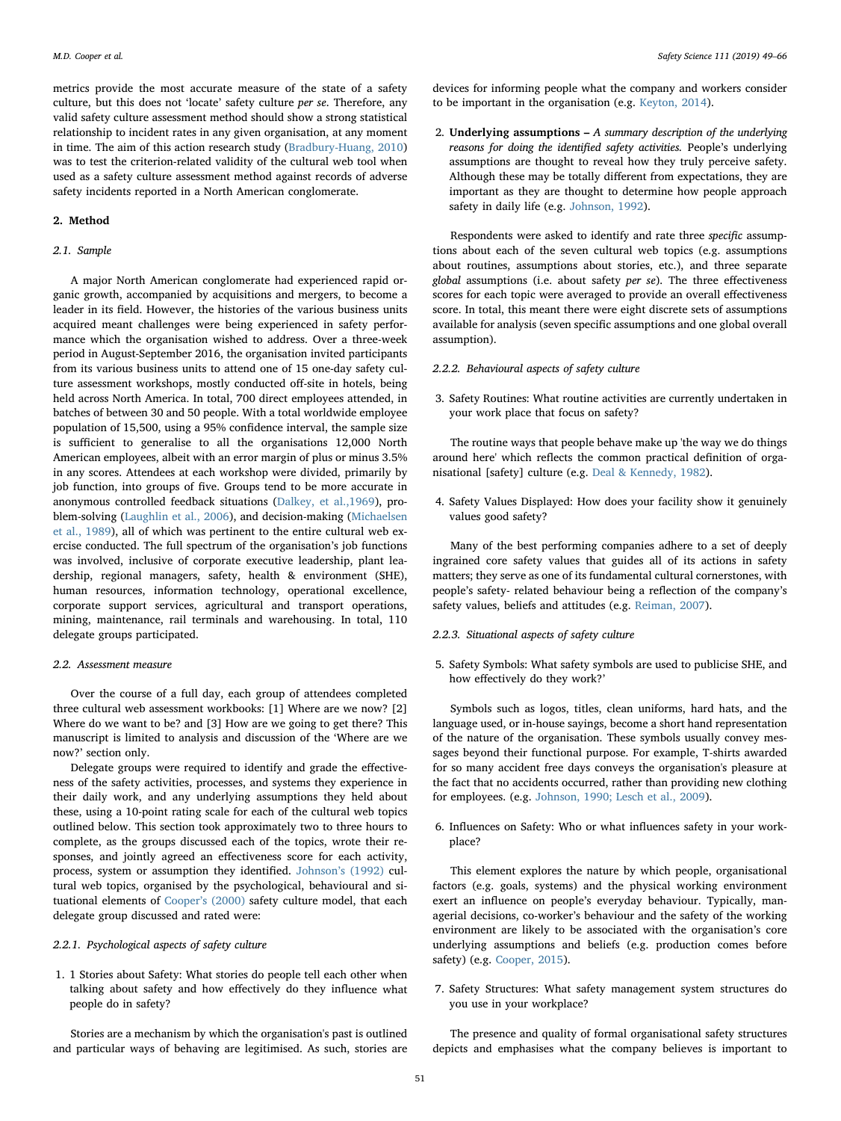metrics provide the most accurate measure of the state of a safety culture, but this does not 'locate' safety culture per se. Therefore, any valid safety culture assessment method should show a strong statistical relationship to incident rates in any given organisation, at any moment in time. The aim of this action research study [\(Bradbury-Huang, 2010\)](#page-15-14) was to test the criterion-related validity of the cultural web tool when used as a safety culture assessment method against records of adverse safety incidents reported in a North American conglomerate.

# 2. Method

## 2.1. Sample

A major North American conglomerate had experienced rapid organic growth, accompanied by acquisitions and mergers, to become a leader in its field. However, the histories of the various business units acquired meant challenges were being experienced in safety performance which the organisation wished to address. Over a three-week period in August-September 2016, the organisation invited participants from its various business units to attend one of 15 one-day safety culture assessment workshops, mostly conducted off-site in hotels, being held across North America. In total, 700 direct employees attended, in batches of between 30 and 50 people. With a total worldwide employee population of 15,500, using a 95% confidence interval, the sample size is sufficient to generalise to all the organisations 12,000 North American employees, albeit with an error margin of plus or minus 3.5% in any scores. Attendees at each workshop were divided, primarily by job function, into groups of five. Groups tend to be more accurate in anonymous controlled feedback situations [\(Dalkey, et al.,1969](#page-16-16)), problem-solving [\(Laughlin et al., 2006](#page-16-17)), and decision-making [\(Michaelsen](#page-16-18) [et al., 1989\)](#page-16-18), all of which was pertinent to the entire cultural web exercise conducted. The full spectrum of the organisation's job functions was involved, inclusive of corporate executive leadership, plant leadership, regional managers, safety, health & environment (SHE), human resources, information technology, operational excellence, corporate support services, agricultural and transport operations, mining, maintenance, rail terminals and warehousing. In total, 110 delegate groups participated.

#### 2.2. Assessment measure

Over the course of a full day, each group of attendees completed three cultural web assessment workbooks: [1] Where are we now? [2] Where do we want to be? and [3] How are we going to get there? This manuscript is limited to analysis and discussion of the 'Where are we now?' section only.

Delegate groups were required to identify and grade the effectiveness of the safety activities, processes, and systems they experience in their daily work, and any underlying assumptions they held about these, using a 10-point rating scale for each of the cultural web topics outlined below. This section took approximately two to three hours to complete, as the groups discussed each of the topics, wrote their responses, and jointly agreed an effectiveness score for each activity, process, system or assumption they identified. Johnson'[s \(1992\)](#page-16-13) cultural web topics, organised by the psychological, behavioural and situational elements of Cooper'[s \(2000\)](#page-15-2) safety culture model, that each delegate group discussed and rated were:

# 2.2.1. Psychological aspects of safety culture

1. 1 Stories about Safety: What stories do people tell each other when talking about safety and how effectively do they influence what people do in safety?

Stories are a mechanism by which the organisation's past is outlined and particular ways of behaving are legitimised. As such, stories are

devices for informing people what the company and workers consider to be important in the organisation (e.g. [Keyton, 2014\)](#page-16-19).

2. Underlying assumptions – A summary description of the underlying reasons for doing the identified safety activities. People's underlying assumptions are thought to reveal how they truly perceive safety. Although these may be totally different from expectations, they are important as they are thought to determine how people approach safety in daily life (e.g. [Johnson, 1992\)](#page-16-13).

Respondents were asked to identify and rate three specific assumptions about each of the seven cultural web topics (e.g. assumptions about routines, assumptions about stories, etc.), and three separate global assumptions (i.e. about safety per se). The three effectiveness scores for each topic were averaged to provide an overall effectiveness score. In total, this meant there were eight discrete sets of assumptions available for analysis (seven specific assumptions and one global overall assumption).

#### 2.2.2. Behavioural aspects of safety culture

3. Safety Routines: What routine activities are currently undertaken in your work place that focus on safety?

The routine ways that people behave make up 'the way we do things around here' which reflects the common practical definition of organisational [safety] culture (e.g. [Deal & Kennedy, 1982\)](#page-16-20).

4. Safety Values Displayed: How does your facility show it genuinely values good safety?

Many of the best performing companies adhere to a set of deeply ingrained core safety values that guides all of its actions in safety matters; they serve as one of its fundamental cultural cornerstones, with people's safety- related behaviour being a reflection of the company's safety values, beliefs and attitudes (e.g. [Reiman, 2007](#page-16-21)).

## 2.2.3. Situational aspects of safety culture

5. Safety Symbols: What safety symbols are used to publicise SHE, and how effectively do they work?'

Symbols such as logos, titles, clean uniforms, hard hats, and the language used, or in‐house sayings, become a short hand representation of the nature of the organisation. These symbols usually convey messages beyond their functional purpose. For example, T‐shirts awarded for so many accident free days conveys the organisation's pleasure at the fact that no accidents occurred, rather than providing new clothing for employees. (e.g. [Johnson, 1990; Lesch et al., 2009\)](#page-16-22).

6. Influences on Safety: Who or what influences safety in your workplace?

This element explores the nature by which people, organisational factors (e.g. goals, systems) and the physical working environment exert an influence on people's everyday behaviour. Typically, managerial decisions, co-worker's behaviour and the safety of the working environment are likely to be associated with the organisation's core underlying assumptions and beliefs (e.g. production comes before safety) (e.g. [Cooper, 2015](#page-15-15)).

7. Safety Structures: What safety management system structures do you use in your workplace?

The presence and quality of formal organisational safety structures depicts and emphasises what the company believes is important to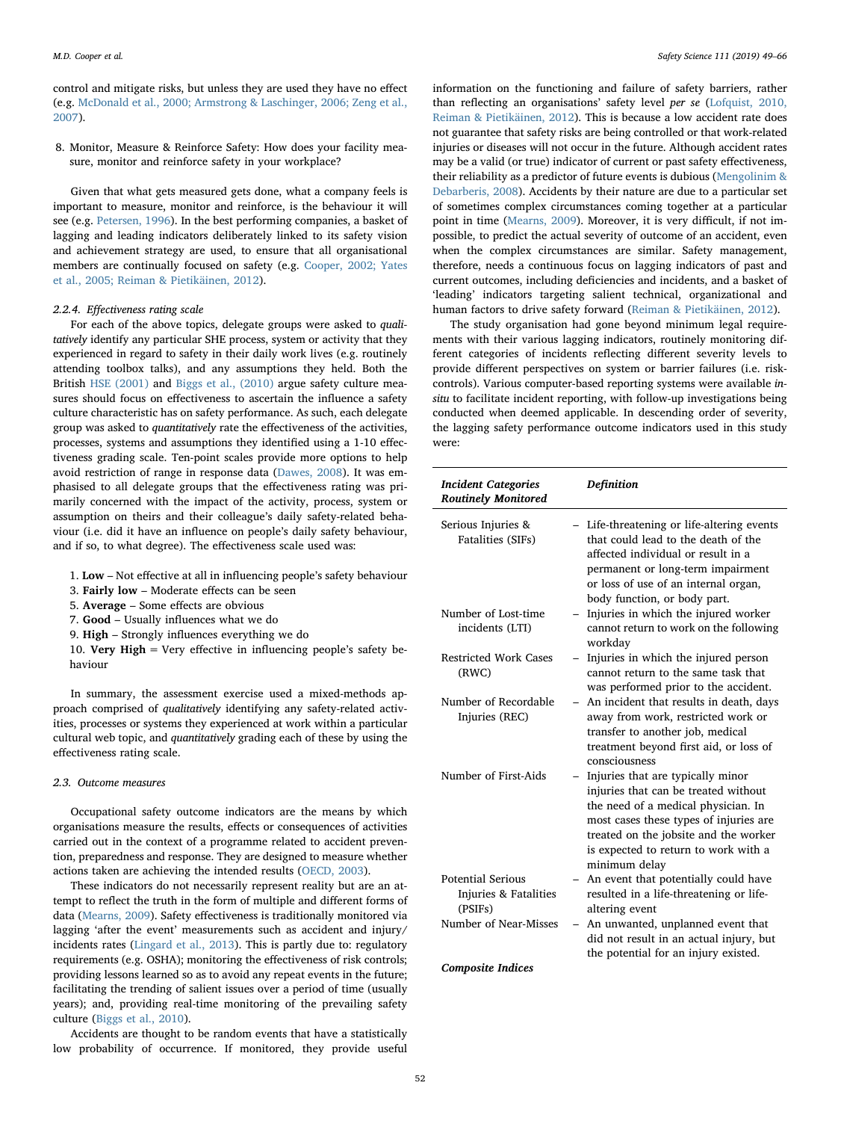control and mitigate risks, but unless they are used they have no effect (e.g. [McDonald et al., 2000; Armstrong & Laschinger, 2006; Zeng et al.,](#page-16-23) [2007\)](#page-16-23).

8. Monitor, Measure & Reinforce Safety: How does your facility measure, monitor and reinforce safety in your workplace?

Given that what gets measured gets done, what a company feels is important to measure, monitor and reinforce, is the behaviour it will see (e.g. [Petersen, 1996\)](#page-16-24). In the best performing companies, a basket of lagging and leading indicators deliberately linked to its safety vision and achievement strategy are used, to ensure that all organisational members are continually focused on safety (e.g. [Cooper, 2002; Yates](#page-15-16) [et al., 2005; Reiman & Pietikäinen, 2012\)](#page-15-16).

# 2.2.4. Effectiveness rating scale

For each of the above topics, delegate groups were asked to qualitatively identify any particular SHE process, system or activity that they experienced in regard to safety in their daily work lives (e.g. routinely attending toolbox talks), and any assumptions they held. Both the British [HSE \(2001\)](#page-16-25) and [Biggs et al., \(2010\)](#page-15-13) argue safety culture measures should focus on effectiveness to ascertain the influence a safety culture characteristic has on safety performance. As such, each delegate group was asked to quantitatively rate the effectiveness of the activities, processes, systems and assumptions they identified using a 1‐10 effectiveness grading scale. Ten-point scales provide more options to help avoid restriction of range in response data [\(Dawes, 2008\)](#page-16-26). It was emphasised to all delegate groups that the effectiveness rating was primarily concerned with the impact of the activity, process, system or assumption on theirs and their colleague's daily safety-related behaviour (i.e. did it have an influence on people's daily safety behaviour, and if so, to what degree). The effectiveness scale used was:

- 1. Low Not effective at all in influencing people's safety behaviour
- 3. Fairly low Moderate effects can be seen
- 5. Average Some effects are obvious
- 7. Good Usually influences what we do
- 9. High Strongly influences everything we do

10. Very High  $=$  Very effective in influencing people's safety behaviour

In summary, the assessment exercise used a mixed-methods approach comprised of qualitatively identifying any safety-related activities, processes or systems they experienced at work within a particular cultural web topic, and quantitatively grading each of these by using the effectiveness rating scale.

## 2.3. Outcome measures

Occupational safety outcome indicators are the means by which organisations measure the results, effects or consequences of activities carried out in the context of a programme related to accident prevention, preparedness and response. They are designed to measure whether actions taken are achieving the intended results ([OECD, 2003\)](#page-16-27).

These indicators do not necessarily represent reality but are an attempt to reflect the truth in the form of multiple and different forms of data [\(Mearns, 2009](#page-16-28)). Safety effectiveness is traditionally monitored via lagging 'after the event' measurements such as accident and injury/ incidents rates [\(Lingard et al., 2013](#page-16-29)). This is partly due to: regulatory requirements (e.g. OSHA); monitoring the effectiveness of risk controls; providing lessons learned so as to avoid any repeat events in the future; facilitating the trending of salient issues over a period of time (usually years); and, providing real-time monitoring of the prevailing safety culture [\(Biggs et al., 2010](#page-15-13)).

Accidents are thought to be random events that have a statistically low probability of occurrence. If monitored, they provide useful

information on the functioning and failure of safety barriers, rather than reflecting an organisations' safety level per se ([Lofquist, 2010,](#page-16-30) [Reiman & Pietikäinen, 2012\)](#page-16-30). This is because a low accident rate does not guarantee that safety risks are being controlled or that work-related injuries or diseases will not occur in the future. Although accident rates may be a valid (or true) indicator of current or past safety effectiveness, their reliability as a predictor of future events is dubious ([Mengolinim &](#page-16-31) [Debarberis, 2008](#page-16-31)). Accidents by their nature are due to a particular set of sometimes complex circumstances coming together at a particular point in time ([Mearns, 2009](#page-16-28)). Moreover, it is very difficult, if not impossible, to predict the actual severity of outcome of an accident, even when the complex circumstances are similar. Safety management, therefore, needs a continuous focus on lagging indicators of past and current outcomes, including deficiencies and incidents, and a basket of 'leading' indicators targeting salient technical, organizational and human factors to drive safety forward (Reiman [& Pietikäinen, 2012\)](#page-16-32).

The study organisation had gone beyond minimum legal requirements with their various lagging indicators, routinely monitoring different categories of incidents reflecting different severity levels to provide different perspectives on system or barrier failures (i.e. riskcontrols). Various computer-based reporting systems were available insitu to facilitate incident reporting, with follow-up investigations being conducted when deemed applicable. In descending order of severity, the lagging safety performance outcome indicators used in this study were:

| <b>Incident Categories</b><br><b>Routinely Monitored</b>     |                          | <b>Definition</b>                                                                                                                                                                                                                                            |
|--------------------------------------------------------------|--------------------------|--------------------------------------------------------------------------------------------------------------------------------------------------------------------------------------------------------------------------------------------------------------|
| Serious Injuries &<br>Fatalities (SIFs)                      |                          | - Life-threatening or life-altering events<br>that could lead to the death of the<br>affected individual or result in a<br>permanent or long-term impairment<br>or loss of use of an internal organ,<br>body function, or body part.                         |
| Number of Lost-time<br>incidents (LTI)                       | Ξ.                       | Injuries in which the injured worker<br>cannot return to work on the following<br>workday                                                                                                                                                                    |
| <b>Restricted Work Cases</b><br>(RWC)                        | $\overline{\phantom{0}}$ | Injuries in which the injured person<br>cannot return to the same task that<br>was performed prior to the accident.                                                                                                                                          |
| Number of Recordable<br>Injuries (REC)                       | $\overline{\phantom{0}}$ | An incident that results in death, days<br>away from work, restricted work or<br>transfer to another job, medical<br>treatment beyond first aid, or loss of<br>consciousness                                                                                 |
| Number of First-Aids                                         | Ξ.                       | Injuries that are typically minor<br>injuries that can be treated without<br>the need of a medical physician. In<br>most cases these types of injuries are<br>treated on the jobsite and the worker<br>is expected to return to work with a<br>minimum delay |
| <b>Potential Serious</b><br>Injuries & Fatalities<br>(PSIFs) | -                        | An event that potentially could have<br>resulted in a life-threatening or life-<br>altering event                                                                                                                                                            |
| Number of Near-Misses                                        |                          | An unwanted, unplanned event that<br>did not result in an actual injury, but                                                                                                                                                                                 |

the potential for an injury existed.

Composite Indices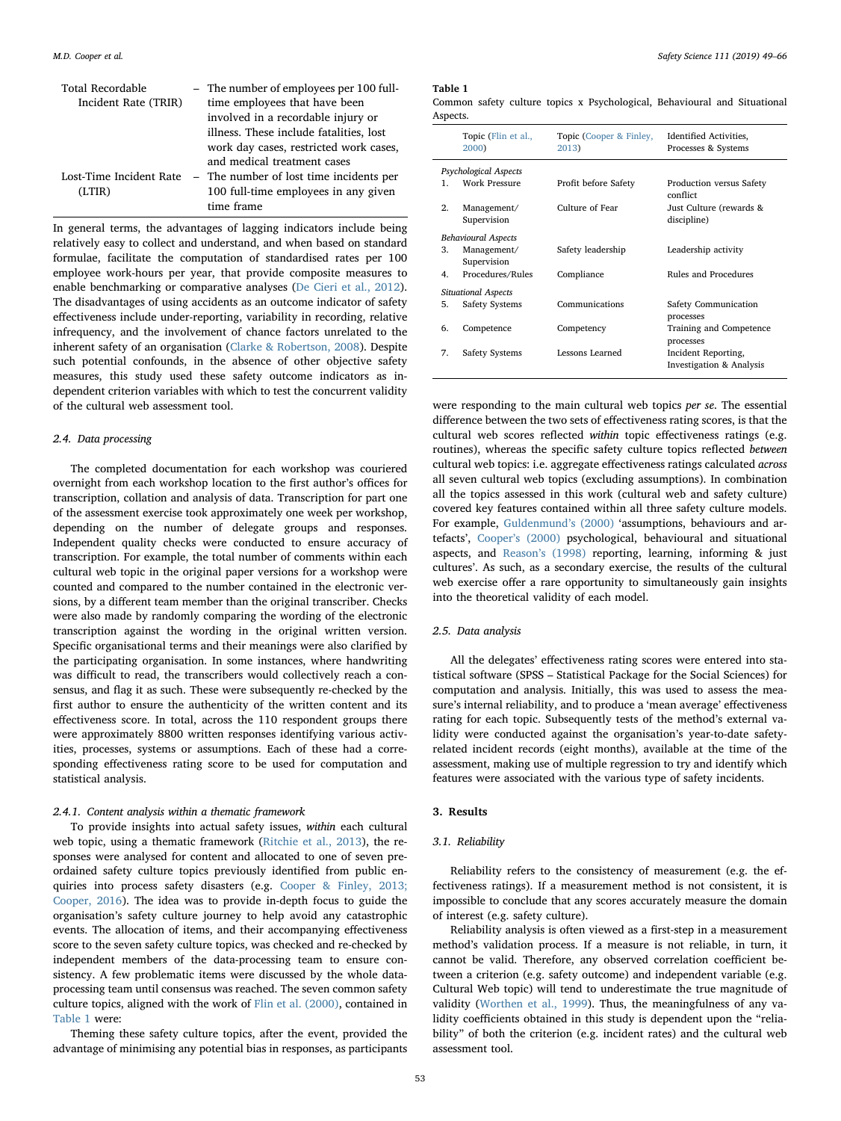| Total Recordable<br>Incident Rate (TRIR) | - The number of employees per 100 full-<br>time employees that have been<br>involved in a recordable injury or<br>illness. These include fatalities, lost<br>work day cases, restricted work cases,<br>and medical treatment cases |
|------------------------------------------|------------------------------------------------------------------------------------------------------------------------------------------------------------------------------------------------------------------------------------|
| Lost-Time Incident Rate<br>(LTIR)        | - The number of lost time incidents per<br>100 full-time employees in any given<br>time frame                                                                                                                                      |

In general terms, the advantages of lagging indicators include being relatively easy to collect and understand, and when based on standard formulae, facilitate the computation of standardised rates per 100 employee work-hours per year, that provide composite measures to enable benchmarking or comparative analyses ([De Cieri et al., 2012](#page-16-33)). The disadvantages of using accidents as an outcome indicator of safety effectiveness include under-reporting, variability in recording, relative infrequency, and the involvement of chance factors unrelated to the inherent safety of an organisation ([Clarke & Robertson, 2008\)](#page-15-17). Despite such potential confounds, in the absence of other objective safety measures, this study used these safety outcome indicators as independent criterion variables with which to test the concurrent validity of the cultural web assessment tool.

#### 2.4. Data processing

The completed documentation for each workshop was couriered overnight from each workshop location to the first author's offices for transcription, collation and analysis of data. Transcription for part one of the assessment exercise took approximately one week per workshop, depending on the number of delegate groups and responses. Independent quality checks were conducted to ensure accuracy of transcription. For example, the total number of comments within each cultural web topic in the original paper versions for a workshop were counted and compared to the number contained in the electronic versions, by a different team member than the original transcriber. Checks were also made by randomly comparing the wording of the electronic transcription against the wording in the original written version. Specific organisational terms and their meanings were also clarified by the participating organisation. In some instances, where handwriting was difficult to read, the transcribers would collectively reach a consensus, and flag it as such. These were subsequently re-checked by the first author to ensure the authenticity of the written content and its effectiveness score. In total, across the 110 respondent groups there were approximately 8800 written responses identifying various activities, processes, systems or assumptions. Each of these had a corresponding effectiveness rating score to be used for computation and statistical analysis.

## 2.4.1. Content analysis within a thematic framework

To provide insights into actual safety issues, within each cultural web topic, using a thematic framework [\(Ritchie et al., 2013](#page-16-34)), the responses were analysed for content and allocated to one of seven preordained safety culture topics previously identified from public enquiries into process safety disasters (e.g. [Cooper & Finley, 2013;](#page-15-11) [Cooper, 2016\)](#page-15-11). The idea was to provide in-depth focus to guide the organisation's safety culture journey to help avoid any catastrophic events. The allocation of items, and their accompanying effectiveness score to the seven safety culture topics, was checked and re-checked by independent members of the data-processing team to ensure consistency. A few problematic items were discussed by the whole dataprocessing team until consensus was reached. The seven common safety culture topics, aligned with the work of [Flin et al. \(2000\)](#page-16-12), contained in [Table 1](#page-4-0) were:

Theming these safety culture topics, after the event, provided the advantage of minimising any potential bias in responses, as participants

#### <span id="page-4-0"></span>Table 1

Common safety culture topics x Psychological, Behavioural and Situational Aspects.

|              | Topic (Flin et al.,<br>2000) | <b>Topic (Cooper &amp; Finley,</b><br>2013) | Identified Activities,<br>Processes & Systems   |
|--------------|------------------------------|---------------------------------------------|-------------------------------------------------|
|              | Psychological Aspects        |                                             |                                                 |
| $\mathbf{1}$ | Work Pressure                | Profit before Safety                        | Production versus Safety<br>conflict            |
| 2.           | Management/<br>Supervision   | Culture of Fear                             | Just Culture (rewards &<br>discipline)          |
|              | <b>Behavioural Aspects</b>   |                                             |                                                 |
| 3.           | Management/<br>Supervision   | Safety leadership                           | Leadership activity                             |
| 4.           | Procedures/Rules             | Compliance                                  | Rules and Procedures                            |
|              | <b>Situational Aspects</b>   |                                             |                                                 |
| 5.           | Safety Systems               | Communications                              | Safety Communication<br>processes               |
| 6.           | Competence                   | Competency                                  | Training and Competence<br>processes            |
| 7.           | <b>Safety Systems</b>        | Lessons Learned                             | Incident Reporting,<br>Investigation & Analysis |

were responding to the main cultural web topics per se. The essential difference between the two sets of effectiveness rating scores, is that the cultural web scores reflected within topic effectiveness ratings (e.g. routines), whereas the specific safety culture topics reflected between cultural web topics: i.e. aggregate effectiveness ratings calculated across all seven cultural web topics (excluding assumptions). In combination all the topics assessed in this work (cultural web and safety culture) covered key features contained within all three safety culture models. For example, [Guldenmund](#page-16-4)'s (2000) 'assumptions, behaviours and artefacts', Cooper'[s \(2000\)](#page-15-2) psychological, behavioural and situational aspects, and Reason'[s \(1998\)](#page-16-10) reporting, learning, informing & just cultures'. As such, as a secondary exercise, the results of the cultural web exercise offer a rare opportunity to simultaneously gain insights into the theoretical validity of each model.

#### 2.5. Data analysis

All the delegates' effectiveness rating scores were entered into statistical software (SPSS – Statistical Package for the Social Sciences) for computation and analysis. Initially, this was used to assess the measure's internal reliability, and to produce a 'mean average' effectiveness rating for each topic. Subsequently tests of the method's external validity were conducted against the organisation's year-to-date safetyrelated incident records (eight months), available at the time of the assessment, making use of multiple regression to try and identify which features were associated with the various type of safety incidents.

## 3. Results

# 3.1. Reliability

Reliability refers to the consistency of measurement (e.g. the effectiveness ratings). If a measurement method is not consistent, it is impossible to conclude that any scores accurately measure the domain of interest (e.g. safety culture).

Reliability analysis is often viewed as a first-step in a measurement method's validation process. If a measure is not reliable, in turn, it cannot be valid. Therefore, any observed correlation coefficient between a criterion (e.g. safety outcome) and independent variable (e.g. Cultural Web topic) will tend to underestimate the true magnitude of validity ([Worthen et al., 1999](#page-17-0)). Thus, the meaningfulness of any validity coefficients obtained in this study is dependent upon the "reliability" of both the criterion (e.g. incident rates) and the cultural web assessment tool.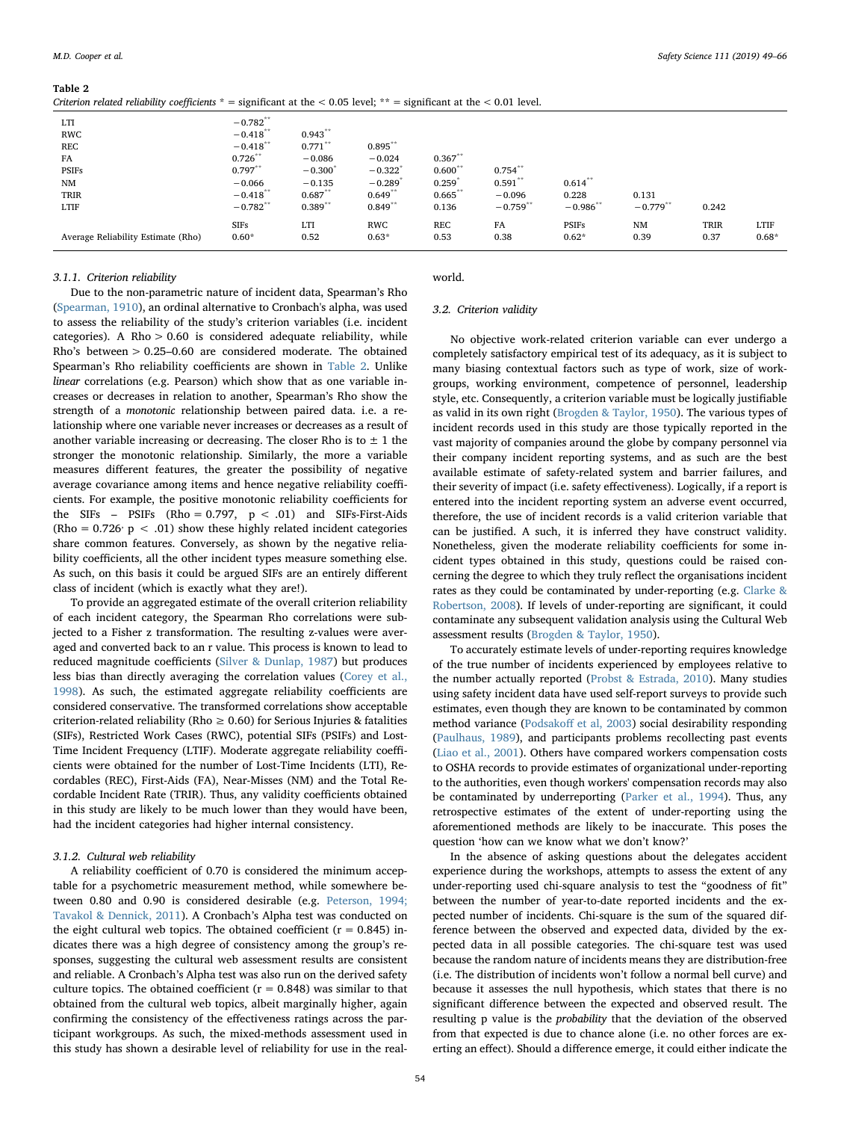| Стаенон тешей тейшийн соётийних                                     | $=$ significant at the $\leq$ 0.05 fever,                                                     |                                                                                     |                                                                                        | $=$ significant at the $\leq 0.01$ lever.                        |                                     |                    |            |             |         |
|---------------------------------------------------------------------|-----------------------------------------------------------------------------------------------|-------------------------------------------------------------------------------------|----------------------------------------------------------------------------------------|------------------------------------------------------------------|-------------------------------------|--------------------|------------|-------------|---------|
| LTI<br>RWC<br>REC<br>FA<br><b>PSIFs</b><br><b>NM</b><br><b>TRIR</b> | $-0.782**$<br>$-0.418**$<br>$-0.418$ **<br>$0.726***$<br>$0.797***$<br>$-0.066$<br>$-0.418**$ | $0.943**$<br>$0.771$ **<br>$-0.086$<br>$-0.300^{\degree}$<br>$-0.135$<br>$0.687$ ** | $0.895$ **<br>$-0.024$<br>$-0.322$ <sup>*</sup><br>$-0.289$ <sup>*</sup><br>$0.649$ ** | $0.367***$<br>$0.600$ <sup>**</sup><br>$0.259^{*}$<br>$0.665$ ** | $0.754$ **<br>$0.591**$<br>$-0.096$ | $0.614**$<br>0.228 | 0.131      |             |         |
| <b>LTIF</b>                                                         | $-0.782**$                                                                                    | $0.389$ <sup>**</sup>                                                               | $0.849**$                                                                              | 0.136                                                            | $-0.759**$                          | $-0.986**$         | $-0.779**$ | 0.242       |         |
|                                                                     | <b>SIFs</b>                                                                                   | LTI                                                                                 | <b>RWC</b>                                                                             | <b>REC</b>                                                       | FA                                  | <b>PSIFs</b>       | <b>NM</b>  | <b>TRIR</b> | LTIF    |
| Average Reliability Estimate (Rho)                                  | $0.60*$                                                                                       | 0.52                                                                                | $0.63*$                                                                                | 0.53                                                             | 0.38                                | $0.62*$            | 0.39       | 0.37        | $0.68*$ |

<span id="page-5-0"></span> $relability coefficients$  \*  $=$  significant at the  $\lt 0.05$  level; \*\*  $=$  significant at the  $\lt 0.01$  level.

#### 3.1.1. Criterion reliability

Due to the non-parametric nature of incident data, Spearman's Rho ([Spearman, 1910\)](#page-17-1), an ordinal alternative to Cronbach's alpha, was used to assess the reliability of the study's criterion variables (i.e. incident categories). A Rho  $> 0.60$  is considered adequate reliability, while Rho's between > 0.25–0.60 are considered moderate. The obtained Spearman's Rho reliability coefficients are shown in [Table 2.](#page-5-0) Unlike linear correlations (e.g. Pearson) which show that as one variable increases or decreases in relation to another, Spearman's Rho show the strength of a monotonic relationship between paired data. i.e. a relationship where one variable never increases or decreases as a result of another variable increasing or decreasing. The closer Rho is to  $\pm$  1 the stronger the monotonic relationship. Similarly, the more a variable measures different features, the greater the possibility of negative average covariance among items and hence negative reliability coefficients. For example, the positive monotonic reliability coefficients for the SIFs – PSIFs (Rho =  $0.797$ ,  $p < .01$ ) and SIFs-First-Aids (Rho =  $0.726$ , p < .01) show these highly related incident categories share common features. Conversely, as shown by the negative reliability coefficients, all the other incident types measure something else. As such, on this basis it could be argued SIFs are an entirely different class of incident (which is exactly what they are!).

To provide an aggregated estimate of the overall criterion reliability of each incident category, the Spearman Rho correlations were subjected to a Fisher z transformation. The resulting z-values were averaged and converted back to an r value. This process is known to lead to reduced magnitude coefficients ([Silver & Dunlap, 1987](#page-17-2)) but produces less bias than directly averaging the correlation values ([Corey et al.,](#page-15-18) [1998\)](#page-15-18). As such, the estimated aggregate reliability coefficients are considered conservative. The transformed correlations show acceptable criterion-related reliability (Rho  $\geq$  0.60) for Serious Injuries & fatalities (SIFs), Restricted Work Cases (RWC), potential SIFs (PSIFs) and Lost-Time Incident Frequency (LTIF). Moderate aggregate reliability coefficients were obtained for the number of Lost-Time Incidents (LTI), Recordables (REC), First-Aids (FA), Near-Misses (NM) and the Total Recordable Incident Rate (TRIR). Thus, any validity coefficients obtained in this study are likely to be much lower than they would have been, had the incident categories had higher internal consistency.

## 3.1.2. Cultural web reliability

A reliability coefficient of 0.70 is considered the minimum acceptable for a psychometric measurement method, while somewhere between 0.80 and 0.90 is considered desirable (e.g. [Peterson, 1994;](#page-16-35) [Tavakol & Dennick, 2011](#page-16-35)). A Cronbach's Alpha test was conducted on the eight cultural web topics. The obtained coefficient ( $r = 0.845$ ) indicates there was a high degree of consistency among the group's responses, suggesting the cultural web assessment results are consistent and reliable. A Cronbach's Alpha test was also run on the derived safety culture topics. The obtained coefficient ( $r = 0.848$ ) was similar to that obtained from the cultural web topics, albeit marginally higher, again confirming the consistency of the effectiveness ratings across the participant workgroups. As such, the mixed-methods assessment used in this study has shown a desirable level of reliability for use in the real-

## world.

## 3.2. Criterion validity

No objective work-related criterion variable can ever undergo a completely satisfactory empirical test of its adequacy, as it is subject to many biasing contextual factors such as type of work, size of workgroups, working environment, competence of personnel, leadership style, etc. Consequently, a criterion variable must be logically justifiable as valid in its own right ([Brogden & Taylor, 1950](#page-15-19)). The various types of incident records used in this study are those typically reported in the vast majority of companies around the globe by company personnel via their company incident reporting systems, and as such are the best available estimate of safety-related system and barrier failures, and their severity of impact (i.e. safety effectiveness). Logically, if a report is entered into the incident reporting system an adverse event occurred, therefore, the use of incident records is a valid criterion variable that can be justified. A such, it is inferred they have construct validity. Nonetheless, given the moderate reliability coefficients for some incident types obtained in this study, questions could be raised concerning the degree to which they truly reflect the organisations incident rates as they could be contaminated by under-reporting (e.g. [Clarke &](#page-15-17) [Robertson, 2008](#page-15-17)). If levels of under-reporting are significant, it could contaminate any subsequent validation analysis using the Cultural Web assessment results [\(Brogden & Taylor, 1950](#page-15-19)).

To accurately estimate levels of under-reporting requires knowledge of the true number of incidents experienced by employees relative to the number actually reported [\(Probst & Estrada, 2010](#page-16-36)). Many studies using safety incident data have used self-report surveys to provide such estimates, even though they are known to be contaminated by common method variance (Podsakoff [et al, 2003\)](#page-16-37) social desirability responding ([Paulhaus, 1989](#page-16-38)), and participants problems recollecting past events ([Liao et al., 2001\)](#page-16-39). Others have compared workers compensation costs to OSHA records to provide estimates of organizational under-reporting to the authorities, even though workers' compensation records may also be contaminated by underreporting [\(Parker et al., 1994\)](#page-16-40). Thus, any retrospective estimates of the extent of under-reporting using the aforementioned methods are likely to be inaccurate. This poses the question 'how can we know what we don't know?'

In the absence of asking questions about the delegates accident experience during the workshops, attempts to assess the extent of any under-reporting used chi-square analysis to test the "goodness of fit" between the number of year-to-date reported incidents and the expected number of incidents. Chi-square is the sum of the squared difference between the observed and expected data, divided by the expected data in all possible categories. The chi-square test was used because the random nature of incidents means they are distribution-free (i.e. The distribution of incidents won't follow a normal bell curve) and because it assesses the null hypothesis, which states that there is no significant difference between the expected and observed result. The resulting p value is the probability that the deviation of the observed from that expected is due to chance alone (i.e. no other forces are exerting an effect). Should a difference emerge, it could either indicate the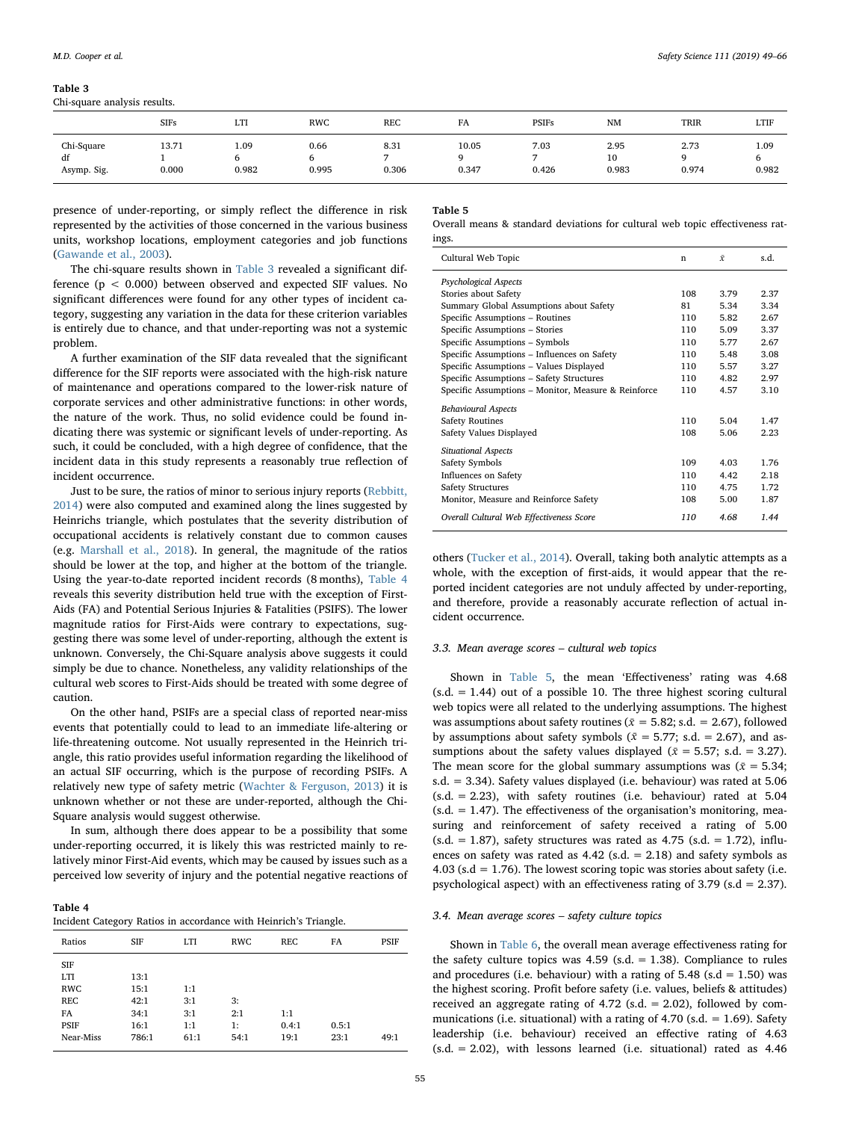<span id="page-6-0"></span>Chi-square analysis results.

| ____<br>____<br>.<br>_______    | ___            |               |               |                    |                |               |                     |               |               |  |
|---------------------------------|----------------|---------------|---------------|--------------------|----------------|---------------|---------------------|---------------|---------------|--|
|                                 | <b>SIFs</b>    | <b>LTI</b>    | <b>RWC</b>    | <b>REC</b>         | FA             | <b>PSIFs</b>  | <b>NM</b>           | <b>TRIR</b>   | LTIF          |  |
| Chi-Square<br>df<br>Asymp. Sig. | 13.71<br>0.000 | 1.09<br>0.982 | 0.66<br>0.995 | 8.31<br>-<br>0.306 | 10.05<br>0.347 | 7.03<br>0.426 | 2.95<br>10<br>0.983 | 2.73<br>0.974 | 1.09<br>0.982 |  |

presence of under-reporting, or simply reflect the difference in risk represented by the activities of those concerned in the various business units, workshop locations, employment categories and job functions ([Gawande et al., 2003\)](#page-16-41).

The chi-square results shown in [Table 3](#page-6-0) revealed a significant difference  $(p < 0.000)$  between observed and expected SIF values. No significant differences were found for any other types of incident category, suggesting any variation in the data for these criterion variables is entirely due to chance, and that under-reporting was not a systemic problem.

A further examination of the SIF data revealed that the significant difference for the SIF reports were associated with the high-risk nature of maintenance and operations compared to the lower-risk nature of corporate services and other administrative functions: in other words, the nature of the work. Thus, no solid evidence could be found indicating there was systemic or significant levels of under-reporting. As such, it could be concluded, with a high degree of confidence, that the incident data in this study represents a reasonably true reflection of incident occurrence.

Just to be sure, the ratios of minor to serious injury reports ([Rebbitt,](#page-16-42) [2014\)](#page-16-42) were also computed and examined along the lines suggested by Heinrichs triangle, which postulates that the severity distribution of occupational accidents is relatively constant due to common causes (e.g. [Marshall et al., 2018\)](#page-16-43). In general, the magnitude of the ratios should be lower at the top, and higher at the bottom of the triangle. Using the year-to-date reported incident records (8 months), [Table 4](#page-6-1) reveals this severity distribution held true with the exception of First-Aids (FA) and Potential Serious Injuries & Fatalities (PSIFS). The lower magnitude ratios for First-Aids were contrary to expectations, suggesting there was some level of under-reporting, although the extent is unknown. Conversely, the Chi-Square analysis above suggests it could simply be due to chance. Nonetheless, any validity relationships of the cultural web scores to First-Aids should be treated with some degree of caution.

On the other hand, PSIFs are a special class of reported near-miss events that potentially could to lead to an immediate life-altering or life-threatening outcome. Not usually represented in the Heinrich triangle, this ratio provides useful information regarding the likelihood of an actual SIF occurring, which is the purpose of recording PSIFs. A relatively new type of safety metric [\(Wachter & Ferguson, 2013\)](#page-17-3) it is unknown whether or not these are under-reported, although the Chi-Square analysis would suggest otherwise.

In sum, although there does appear to be a possibility that some under-reporting occurred, it is likely this was restricted mainly to relatively minor First-Aid events, which may be caused by issues such as a perceived low severity of injury and the potential negative reactions of

#### <span id="page-6-1"></span>Table 4

Incident Category Ratios in accordance with Heinrich's Triangle.

| Ratios      | <b>SIF</b> | LTI  | RWC  | REC   | FA    | PSIF |
|-------------|------------|------|------|-------|-------|------|
| SIF         |            |      |      |       |       |      |
| <b>LTI</b>  | 13:1       |      |      |       |       |      |
| <b>RWC</b>  | 15:1       | 1:1  |      |       |       |      |
| <b>REC</b>  | 42:1       | 3:1  | 3:   |       |       |      |
| FA          | 34:1       | 3:1  | 2:1  | 1:1   |       |      |
| <b>PSIF</b> | 16:1       | 1:1  | 1:   | 0.4:1 | 0.5:1 |      |
| Near-Miss   | 786:1      | 61:1 | 54:1 | 19:1  | 23:1  | 49:1 |

#### <span id="page-6-2"></span>Table 5

Overall means & standard deviations for cultural web topic effectiveness ratings.

| Cultural Web Topic                                  | n   | Ÿ.   | s.d. |
|-----------------------------------------------------|-----|------|------|
| Psychological Aspects                               |     |      |      |
| Stories about Safety                                | 108 | 3.79 | 2.37 |
| Summary Global Assumptions about Safety             | 81  | 5.34 | 3.34 |
| Specific Assumptions - Routines                     | 110 | 5.82 | 2.67 |
| Specific Assumptions - Stories                      | 110 | 5.09 | 3.37 |
| Specific Assumptions - Symbols                      | 110 | 5.77 | 2.67 |
| Specific Assumptions - Influences on Safety         | 110 | 5.48 | 3.08 |
| Specific Assumptions - Values Displayed             | 110 | 5.57 | 3.27 |
| Specific Assumptions - Safety Structures            | 110 | 4.82 | 2.97 |
| Specific Assumptions - Monitor, Measure & Reinforce | 110 | 4.57 | 3.10 |
| <b>Behavioural Aspects</b>                          |     |      |      |
| <b>Safety Routines</b>                              | 110 | 5.04 | 1.47 |
| Safety Values Displayed                             | 108 | 5.06 | 2.23 |
| <b>Situational Aspects</b>                          |     |      |      |
| Safety Symbols                                      | 109 | 4.03 | 1.76 |
| Influences on Safety                                | 110 | 4.42 | 2.18 |
| <b>Safety Structures</b>                            | 110 | 4.75 | 1.72 |
| Monitor, Measure and Reinforce Safety               | 108 | 5.00 | 1.87 |
| Overall Cultural Web Effectiveness Score            | 110 | 4.68 | 1.44 |

others ([Tucker et al., 2014](#page-17-4)). Overall, taking both analytic attempts as a whole, with the exception of first-aids, it would appear that the reported incident categories are not unduly affected by under-reporting, and therefore, provide a reasonably accurate reflection of actual incident occurrence.

#### 3.3. Mean average scores – cultural web topics

Shown in [Table 5](#page-6-2), the mean 'Effectiveness' rating was 4.68  $(s.d. = 1.44)$  out of a possible 10. The three highest scoring cultural web topics were all related to the underlying assumptions. The highest was assumptions about safety routines ( $\bar{x}$  = 5.82; s.d. = 2.67), followed by assumptions about safety symbols ( $\bar{x}$  = 5.77; s.d. = 2.67), and assumptions about the safety values displayed ( $\bar{x}$  = 5.57; s.d. = 3.27). The mean score for the global summary assumptions was ( $\bar{x}$  = 5.34; s.d. = 3.34). Safety values displayed (i.e. behaviour) was rated at 5.06 (s.d. = 2.23), with safety routines (i.e. behaviour) rated at 5.04  $(s.d. = 1.47)$ . The effectiveness of the organisation's monitoring, measuring and reinforcement of safety received a rating of 5.00  $(s.d. = 1.87)$ , safety structures was rated as 4.75  $(s.d. = 1.72)$ , influences on safety was rated as  $4.42$  (s.d. = 2.18) and safety symbols as 4.03 (s.d = 1.76). The lowest scoring topic was stories about safety (i.e. psychological aspect) with an effectiveness rating of 3.79 (s.d =  $2.37$ ).

## 3.4. Mean average scores – safety culture topics

Shown in [Table 6,](#page-7-0) the overall mean average effectiveness rating for the safety culture topics was  $4.59$  (s.d. = 1.38). Compliance to rules and procedures (i.e. behaviour) with a rating of  $5.48$  (s.d = 1.50) was the highest scoring. Profit before safety (i.e. values, beliefs & attitudes) received an aggregate rating of  $4.72$  (s.d. = 2.02), followed by communications (i.e. situational) with a rating of 4.70 (s.d.  $= 1.69$ ). Safety leadership (i.e. behaviour) received an effective rating of 4.63 (s.d. = 2.02), with lessons learned (i.e. situational) rated as 4.46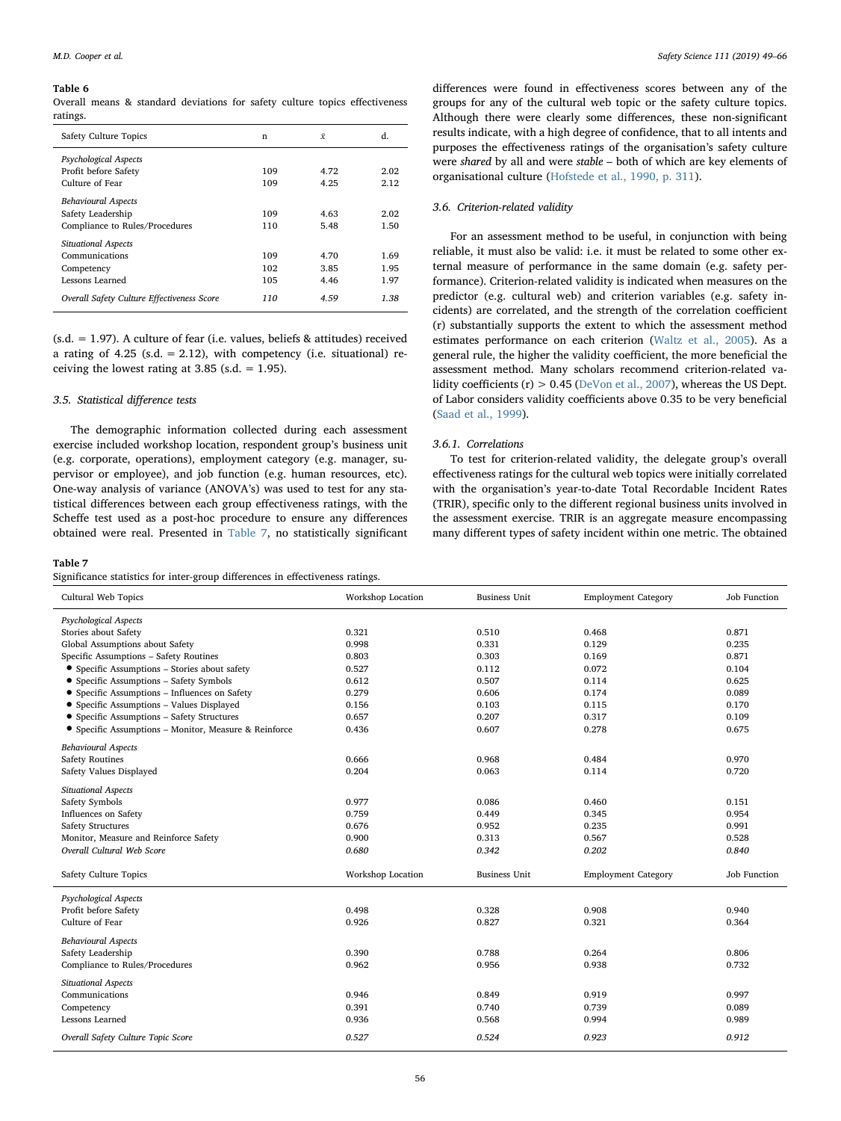<span id="page-7-0"></span>Overall means & standard deviations for safety culture topics effectiveness ratings.

| Safety Culture Topics                      | $\mathbf n$ | $\bar{x}$ | d.   |
|--------------------------------------------|-------------|-----------|------|
| Psychological Aspects                      |             |           |      |
| Profit before Safety                       | 109         | 4.72      | 2.02 |
| Culture of Fear                            | 109         | 4.25      | 2.12 |
| <b>Behavioural Aspects</b>                 |             |           |      |
| Safety Leadership                          | 109         | 4.63      | 2.02 |
| Compliance to Rules/Procedures             | 110         | 5.48      | 1.50 |
| <b>Situational Aspects</b>                 |             |           |      |
| Communications                             | 109         | 4.70      | 1.69 |
| Competency                                 | 102         | 3.85      | 1.95 |
| Lessons Learned                            | 105         | 4.46      | 1.97 |
| Overall Safety Culture Effectiveness Score | 110         | 4.59      | 1.38 |
|                                            |             |           |      |

(s.d. = 1.97). A culture of fear (i.e. values, beliefs & attitudes) received a rating of  $4.25$  (s.d. = 2.12), with competency (i.e. situational) receiving the lowest rating at 3.85 (s.d.  $= 1.95$ ).

#### 3.5. Statistical difference tests

The demographic information collected during each assessment exercise included workshop location, respondent group's business unit (e.g. corporate, operations), employment category (e.g. manager, supervisor or employee), and job function (e.g. human resources, etc). One-way analysis of variance (ANOVA's) was used to test for any statistical differences between each group effectiveness ratings, with the Scheffe test used as a post-hoc procedure to ensure any differences obtained were real. Presented in [Table 7](#page-7-1), no statistically significant

#### <span id="page-7-1"></span>Table 7

Significance statistics for inter-group differences in effectiveness ratings.

differences were found in effectiveness scores between any of the groups for any of the cultural web topic or the safety culture topics. Although there were clearly some differences, these non-significant results indicate, with a high degree of confidence, that to all intents and purposes the effectiveness ratings of the organisation's safety culture were shared by all and were stable – both of which are key elements of organisational culture [\(Hofstede et al., 1990, p. 311](#page-16-44)).

## 3.6. Criterion-related validity

For an assessment method to be useful, in conjunction with being reliable, it must also be valid: i.e. it must be related to some other external measure of performance in the same domain (e.g. safety performance). Criterion-related validity is indicated when measures on the predictor (e.g. cultural web) and criterion variables (e.g. safety incidents) are correlated, and the strength of the correlation coefficient (r) substantially supports the extent to which the assessment method estimates performance on each criterion [\(Waltz et al., 2005](#page-17-5)). As a general rule, the higher the validity coefficient, the more beneficial the assessment method. Many scholars recommend criterion-related validity coefficients  $(r) > 0.45$  [\(DeVon et al., 2007](#page-16-45)), whereas the US Dept. of Labor considers validity coefficients above 0.35 to be very beneficial ([Saad et al., 1999\)](#page-16-46).

## 3.6.1. Correlations

To test for criterion-related validity, the delegate group's overall effectiveness ratings for the cultural web topics were initially correlated with the organisation's year-to-date Total Recordable Incident Rates (TRIR), specific only to the different regional business units involved in the assessment exercise. TRIR is an aggregate measure encompassing many different types of safety incident within one metric. The obtained

| Cultural Web Topics                                   | Workshop Location | <b>Business Unit</b> | <b>Employment Category</b> | Job Function |
|-------------------------------------------------------|-------------------|----------------------|----------------------------|--------------|
| Psychological Aspects                                 |                   |                      |                            |              |
| Stories about Safety                                  | 0.321             | 0.510                | 0.468                      | 0.871        |
| Global Assumptions about Safety                       | 0.998             | 0.331                | 0.129                      | 0.235        |
| Specific Assumptions - Safety Routines                | 0.803             | 0.303                | 0.169                      | 0.871        |
| • Specific Assumptions - Stories about safety         | 0.527             | 0.112                | 0.072                      | 0.104        |
| • Specific Assumptions - Safety Symbols               | 0.612             | 0.507                | 0.114                      | 0.625        |
| • Specific Assumptions - Influences on Safety         | 0.279             | 0.606                | 0.174                      | 0.089        |
| • Specific Assumptions - Values Displayed             | 0.156             | 0.103                | 0.115                      | 0.170        |
| • Specific Assumptions - Safety Structures            | 0.657             | 0.207                | 0.317                      | 0.109        |
| • Specific Assumptions - Monitor, Measure & Reinforce | 0.436             | 0.607                | 0.278                      | 0.675        |
| <b>Behavioural Aspects</b>                            |                   |                      |                            |              |
| <b>Safety Routines</b>                                | 0.666             | 0.968                | 0.484                      | 0.970        |
| Safety Values Displayed                               | 0.204             | 0.063                | 0.114                      | 0.720        |
| Situational Aspects                                   |                   |                      |                            |              |
| Safety Symbols                                        | 0.977             | 0.086                | 0.460                      | 0.151        |
| Influences on Safety                                  | 0.759             | 0.449                | 0.345                      | 0.954        |
| <b>Safety Structures</b>                              | 0.676             | 0.952                | 0.235                      | 0.991        |
| Monitor, Measure and Reinforce Safety                 | 0.900             | 0.313                | 0.567                      | 0.528        |
| Overall Cultural Web Score                            | 0.680             | 0.342                | 0.202                      | 0.840        |
| Safety Culture Topics                                 | Workshop Location | <b>Business Unit</b> | <b>Employment Category</b> | Job Function |
| Psychological Aspects                                 |                   |                      |                            |              |
| Profit before Safety                                  | 0.498             | 0.328                | 0.908                      | 0.940        |
| Culture of Fear                                       | 0.926             | 0.827                | 0.321                      | 0.364        |
| <b>Behavioural Aspects</b>                            |                   |                      |                            |              |
| Safety Leadership                                     | 0.390             | 0.788                | 0.264                      | 0.806        |
| Compliance to Rules/Procedures                        | 0.962             | 0.956                | 0.938                      | 0.732        |
| <b>Situational Aspects</b>                            |                   |                      |                            |              |
| Communications                                        | 0.946             | 0.849                | 0.919                      | 0.997        |
| Competency                                            | 0.391             | 0.740                | 0.739                      | 0.089        |
| Lessons Learned                                       | 0.936             | 0.568                | 0.994                      | 0.989        |
| Overall Safety Culture Topic Score                    | 0.527             | 0.524                | 0.923                      | 0.912        |
|                                                       |                   |                      |                            |              |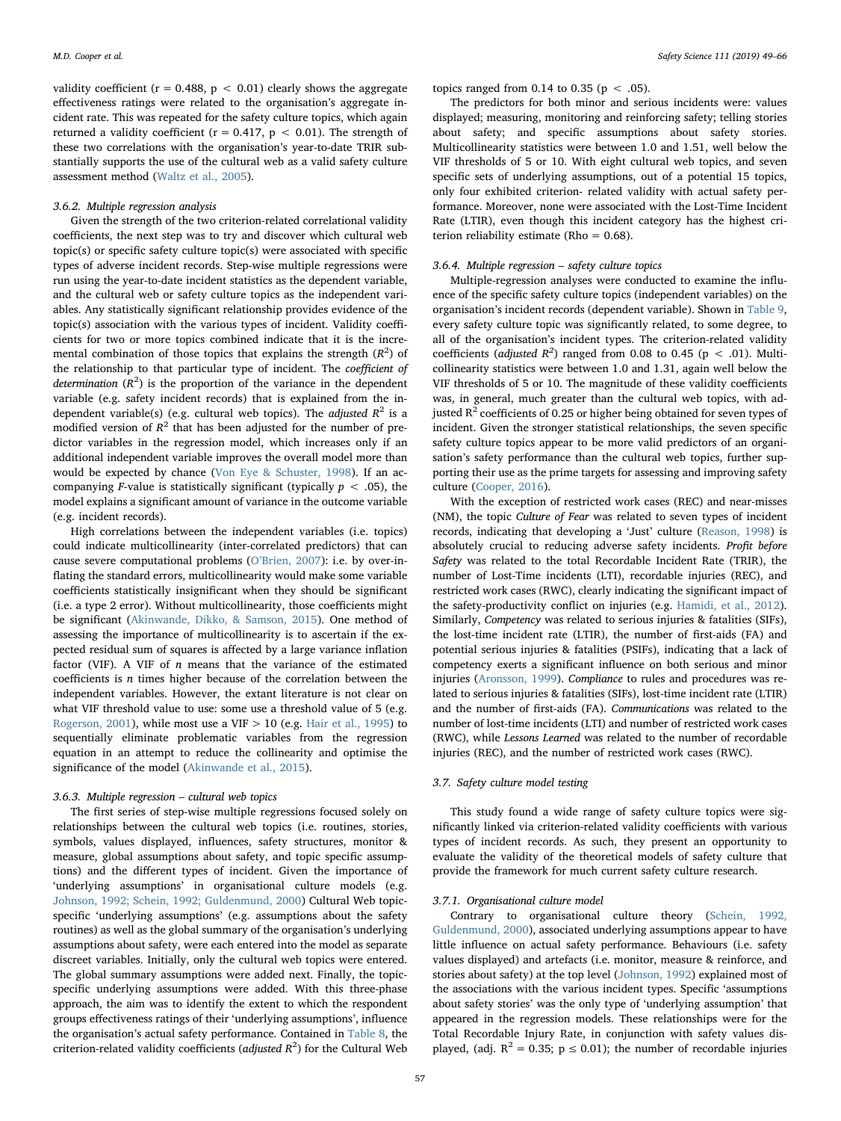validity coefficient ( $r = 0.488$ ,  $p < 0.01$ ) clearly shows the aggregate effectiveness ratings were related to the organisation's aggregate incident rate. This was repeated for the safety culture topics, which again returned a validity coefficient ( $r = 0.417$ ,  $p < 0.01$ ). The strength of these two correlations with the organisation's year-to-date TRIR substantially supports the use of the cultural web as a valid safety culture assessment method [\(Waltz et al., 2005\)](#page-17-5).

# 3.6.2. Multiple regression analysis

Given the strength of the two criterion-related correlational validity coefficients, the next step was to try and discover which cultural web topic(s) or specific safety culture topic(s) were associated with specific types of adverse incident records. Step-wise multiple regressions were run using the year-to-date incident statistics as the dependent variable, and the cultural web or safety culture topics as the independent variables. Any statistically significant relationship provides evidence of the topic(s) association with the various types of incident. Validity coefficients for two or more topics combined indicate that it is the incremental combination of those topics that explains the strength  $(R^2)$  of the relationship to that particular type of incident. The coefficient of determination  $(R^2)$  is the proportion of the variance in the dependent variable (e.g. safety incident records) that is explained from the independent variable(s) (e.g. cultural web topics). The *adjusted*  $R^2$  is a modified version of  $R^2$  that has been adjusted for the number of predictor variables in the regression model, which increases only if an additional independent variable improves the overall model more than would be expected by chance ([Von Eye & Schuster, 1998\)](#page-17-6). If an accompanying *F*-value is statistically significant (typically  $p < .05$ ), the model explains a significant amount of variance in the outcome variable (e.g. incident records).

High correlations between the independent variables (i.e. topics) could indicate multicollinearity (inter-correlated predictors) that can cause severe computational problems (O'[Brien, 2007](#page-16-47)): i.e. by over-inflating the standard errors, multicollinearity would make some variable coefficients statistically insignificant when they should be significant (i.e. a type 2 error). Without multicollinearity, those coefficients might be significant ([Akinwande, Dikko, & Samson, 2015\)](#page-15-20). One method of assessing the importance of multicollinearity is to ascertain if the expected residual sum of squares is affected by a large variance inflation factor (VIF). A VIF of  $n$  means that the variance of the estimated coefficients is  $n$  times higher because of the correlation between the independent variables. However, the extant literature is not clear on what VIF threshold value to use: some use a threshold value of 5 (e.g. [Rogerson, 2001](#page-16-48)), while most use a VIF > 10 (e.g. [Hair et al., 1995\)](#page-16-49) to sequentially eliminate problematic variables from the regression equation in an attempt to reduce the collinearity and optimise the significance of the model ([Akinwande et al., 2015](#page-15-20)).

#### 3.6.3. Multiple regression – cultural web topics

The first series of step-wise multiple regressions focused solely on relationships between the cultural web topics (i.e. routines, stories, symbols, values displayed, influences, safety structures, monitor & measure, global assumptions about safety, and topic specific assumptions) and the different types of incident. Given the importance of 'underlying assumptions' in organisational culture models (e.g. [Johnson, 1992; Schein, 1992; Guldenmund, 2000\)](#page-16-13) Cultural Web topicspecific 'underlying assumptions' (e.g. assumptions about the safety routines) as well as the global summary of the organisation's underlying assumptions about safety, were each entered into the model as separate discreet variables. Initially, only the cultural web topics were entered. The global summary assumptions were added next. Finally, the topicspecific underlying assumptions were added. With this three-phase approach, the aim was to identify the extent to which the respondent groups effectiveness ratings of their 'underlying assumptions', influence the organisation's actual safety performance. Contained in [Table 8,](#page-9-0) the criterion-related validity coefficients (adjusted  $R^2$ ) for the Cultural Web

topics ranged from 0.14 to 0.35 ( $p < .05$ ).

The predictors for both minor and serious incidents were: values displayed; measuring, monitoring and reinforcing safety; telling stories about safety; and specific assumptions about safety stories. Multicollinearity statistics were between 1.0 and 1.51, well below the VIF thresholds of 5 or 10. With eight cultural web topics, and seven specific sets of underlying assumptions, out of a potential 15 topics, only four exhibited criterion- related validity with actual safety performance. Moreover, none were associated with the Lost-Time Incident Rate (LTIR), even though this incident category has the highest criterion reliability estimate (Rho =  $0.68$ ).

# 3.6.4. Multiple regression – safety culture topics

Multiple-regression analyses were conducted to examine the influence of the specific safety culture topics (independent variables) on the organisation's incident records (dependent variable). Shown in [Table 9](#page-9-1), every safety culture topic was significantly related, to some degree, to all of the organisation's incident types. The criterion-related validity coefficients (adjusted  $R^2$ ) ranged from 0.08 to 0.45 (p < .01). Multicollinearity statistics were between 1.0 and 1.31, again well below the VIF thresholds of 5 or 10. The magnitude of these validity coefficients was, in general, much greater than the cultural web topics, with adjusted  $R^2$  coefficients of 0.25 or higher being obtained for seven types of incident. Given the stronger statistical relationships, the seven specific safety culture topics appear to be more valid predictors of an organisation's safety performance than the cultural web topics, further supporting their use as the prime targets for assessing and improving safety culture [\(Cooper, 2016](#page-15-12)).

With the exception of restricted work cases (REC) and near-misses (NM), the topic Culture of Fear was related to seven types of incident records, indicating that developing a 'Just' culture ([Reason, 1998\)](#page-16-10) is absolutely crucial to reducing adverse safety incidents. Profit before Safety was related to the total Recordable Incident Rate (TRIR), the number of Lost-Time incidents (LTI), recordable injuries (REC), and restricted work cases (RWC), clearly indicating the significant impact of the safety-productivity conflict on injuries (e.g. [Hamidi, et al., 2012](#page-16-50)). Similarly, Competency was related to serious injuries & fatalities (SIFs), the lost-time incident rate (LTIR), the number of first-aids (FA) and potential serious injuries & fatalities (PSIFs), indicating that a lack of competency exerts a significant influence on both serious and minor injuries ([Aronsson, 1999\)](#page-15-21). Compliance to rules and procedures was related to serious injuries & fatalities (SIFs), lost-time incident rate (LTIR) and the number of first-aids (FA). Communications was related to the number of lost-time incidents (LTI) and number of restricted work cases (RWC), while Lessons Learned was related to the number of recordable injuries (REC), and the number of restricted work cases (RWC).

## 3.7. Safety culture model testing

This study found a wide range of safety culture topics were significantly linked via criterion-related validity coefficients with various types of incident records. As such, they present an opportunity to evaluate the validity of the theoretical models of safety culture that provide the framework for much current safety culture research.

## 3.7.1. Organisational culture model

Contrary to organisational culture theory ([Schein, 1992,](#page-16-5) [Guldenmund, 2000\)](#page-16-5), associated underlying assumptions appear to have little influence on actual safety performance. Behaviours (i.e. safety values displayed) and artefacts (i.e. monitor, measure & reinforce, and stories about safety) at the top level [\(Johnson, 1992\)](#page-16-13) explained most of the associations with the various incident types. Specific 'assumptions about safety stories' was the only type of 'underlying assumption' that appeared in the regression models. These relationships were for the Total Recordable Injury Rate, in conjunction with safety values displayed, (adj.  $R^2 = 0.35$ ;  $p \le 0.01$ ); the number of recordable injuries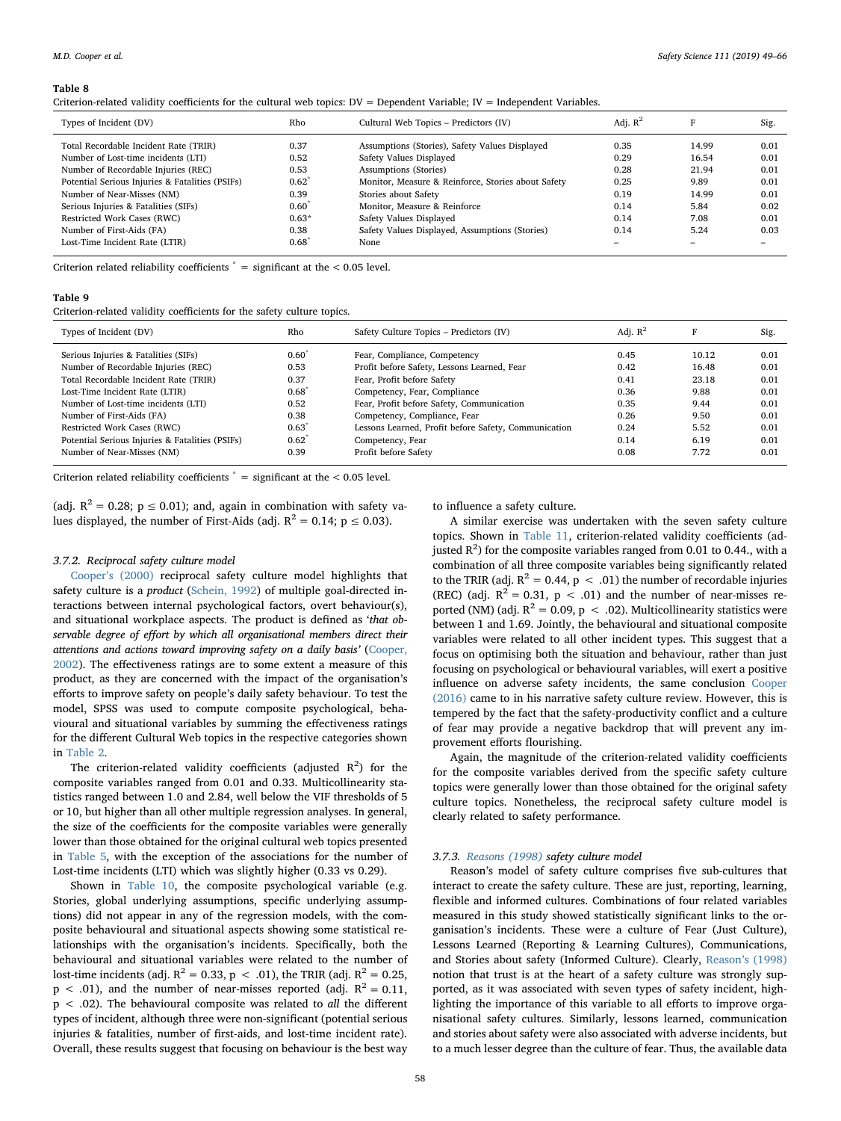<span id="page-9-0"></span>Criterion-related validity coefficients for the cultural web topics: DV = Dependent Variable; IV = Independent Variables.

| Types of Incident (DV)                          | Rho              | Cultural Web Topics - Predictors (IV)              | Adi. $R^2$ |       | Sig. |
|-------------------------------------------------|------------------|----------------------------------------------------|------------|-------|------|
| Total Recordable Incident Rate (TRIR)           | 0.37             | Assumptions (Stories), Safety Values Displayed     | 0.35       | 14.99 | 0.01 |
| Number of Lost-time incidents (LTI)             | 0.52             | Safety Values Displayed                            | 0.29       | 16.54 | 0.01 |
| Number of Recordable Injuries (REC)             | 0.53             | Assumptions (Stories)                              | 0.28       | 21.94 | 0.01 |
| Potential Serious Injuries & Fatalities (PSIFs) | $0.62^{^{*}}$    | Monitor, Measure & Reinforce, Stories about Safety | 0.25       | 9.89  | 0.01 |
| Number of Near-Misses (NM)                      | 0.39             | Stories about Safety                               | 0.19       | 14.99 | 0.01 |
| Serious Injuries & Fatalities (SIFs)            | $0.60^{\degree}$ | Monitor, Measure & Reinforce                       | 0.14       | 5.84  | 0.02 |
| Restricted Work Cases (RWC)                     | $0.63*$          | Safety Values Displayed                            | 0.14       | 7.08  | 0.01 |
| Number of First-Aids (FA)                       | 0.38             | Safety Values Displayed, Assumptions (Stories)     | 0.14       | 5.24  | 0.03 |
| Lost-Time Incident Rate (LTIR)                  | $0.68^{\circ}$   | None                                               |            |       |      |

Criterion related reliability coefficients  $* =$  significant at the  $< 0.05$  level.

#### <span id="page-9-1"></span>Table 9

Criterion-related validity coefficients for the safety culture topics.

| Types of Incident (DV)                          | Rho              | Safety Culture Topics - Predictors (IV)              | Adj. $R^2$ |       | Sig. |
|-------------------------------------------------|------------------|------------------------------------------------------|------------|-------|------|
| Serious Injuries & Fatalities (SIFs)            | $0.60^*$         | Fear, Compliance, Competency                         | 0.45       | 10.12 | 0.01 |
| Number of Recordable Injuries (REC)             | 0.53             | Profit before Safety, Lessons Learned, Fear          | 0.42       | 16.48 | 0.01 |
| Total Recordable Incident Rate (TRIR)           | 0.37             | Fear, Profit before Safety                           | 0.41       | 23.18 | 0.01 |
| Lost-Time Incident Rate (LTIR)                  | $0.68^{\degree}$ | Competency, Fear, Compliance                         | 0.36       | 9.88  | 0.01 |
| Number of Lost-time incidents (LTI)             | 0.52             | Fear, Profit before Safety, Communication            | 0.35       | 9.44  | 0.01 |
| Number of First-Aids (FA)                       | 0.38             | Competency, Compliance, Fear                         | 0.26       | 9.50  | 0.01 |
| Restricted Work Cases (RWC)                     | $0.63^{\circ}$   | Lessons Learned, Profit before Safety, Communication | 0.24       | 5.52  | 0.01 |
| Potential Serious Injuries & Fatalities (PSIFs) | $0.62^*$         | Competency, Fear                                     | 0.14       | 6.19  | 0.01 |
| Number of Near-Misses (NM)                      | 0.39             | Profit before Safety                                 | 0.08       | 7.72  | 0.01 |
|                                                 |                  |                                                      |            |       |      |

Criterion related reliability coefficients  $* =$  significant at the  $< 0.05$  level.

(adj.  $R^2 = 0.28$ ;  $p \le 0.01$ ); and, again in combination with safety values displayed, the number of First-Aids (adj.  $R^2 = 0.14$ ;  $p \le 0.03$ ).

## 3.7.2. Reciprocal safety culture model

Cooper'[s \(2000\)](#page-15-2) reciprocal safety culture model highlights that safety culture is a product [\(Schein, 1992\)](#page-16-5) of multiple goal-directed interactions between internal psychological factors, overt behaviour(s), and situational workplace aspects. The product is defined as 'that observable degree of effort by which all organisational members direct their attentions and actions toward improving safety on a daily basis' [\(Cooper,](#page-15-16) [2002\)](#page-15-16). The effectiveness ratings are to some extent a measure of this product, as they are concerned with the impact of the organisation's efforts to improve safety on people's daily safety behaviour. To test the model, SPSS was used to compute composite psychological, behavioural and situational variables by summing the effectiveness ratings for the different Cultural Web topics in the respective categories shown in [Table 2.](#page-5-0)

The criterion-related validity coefficients (adjusted  $R^2$ ) for the composite variables ranged from 0.01 and 0.33. Multicollinearity statistics ranged between 1.0 and 2.84, well below the VIF thresholds of 5 or 10, but higher than all other multiple regression analyses. In general, the size of the coefficients for the composite variables were generally lower than those obtained for the original cultural web topics presented in [Table 5](#page-6-2), with the exception of the associations for the number of Lost-time incidents (LTI) which was slightly higher (0.33 vs 0.29).

Shown in [Table 10,](#page-10-0) the composite psychological variable (e.g. Stories, global underlying assumptions, specific underlying assumptions) did not appear in any of the regression models, with the composite behavioural and situational aspects showing some statistical relationships with the organisation's incidents. Specifically, both the behavioural and situational variables were related to the number of lost-time incidents (adj.  $R^2 = 0.33$ , p < .01), the TRIR (adj.  $R^2 = 0.25$ ,  $p < .01$ ), and the number of near-misses reported (adj.  $R^2 = 0.11$ ,  $p < .02$ ). The behavioural composite was related to all the different types of incident, although three were non-significant (potential serious injuries & fatalities, number of first-aids, and lost-time incident rate). Overall, these results suggest that focusing on behaviour is the best way

to influence a safety culture.

A similar exercise was undertaken with the seven safety culture topics. Shown in [Table 11,](#page-10-1) criterion-related validity coefficients (adjusted  $R^2$ ) for the composite variables ranged from 0.01 to 0.44., with a combination of all three composite variables being significantly related to the TRIR (adj.  $R^2 = 0.44$ ,  $p < .01$ ) the number of recordable injuries (REC) (adj.  $R^2 = 0.31$ ,  $p < .01$ ) and the number of near-misses reported (NM) (adj.  $R^2 = 0.09$ , p < .02). Multicollinearity statistics were between 1 and 1.69. Jointly, the behavioural and situational composite variables were related to all other incident types. This suggest that a focus on optimising both the situation and behaviour, rather than just focusing on psychological or behavioural variables, will exert a positive influence on adverse safety incidents, the same conclusion [Cooper](#page-15-12) [\(2016\)](#page-15-12) came to in his narrative safety culture review. However, this is tempered by the fact that the safety-productivity conflict and a culture of fear may provide a negative backdrop that will prevent any improvement efforts flourishing.

Again, the magnitude of the criterion-related validity coefficients for the composite variables derived from the specific safety culture topics were generally lower than those obtained for the original safety culture topics. Nonetheless, the reciprocal safety culture model is clearly related to safety performance.

#### 3.7.3. [Reasons \(1998\)](#page-16-10) safety culture model

Reason's model of safety culture comprises five sub-cultures that interact to create the safety culture. These are just, reporting, learning, flexible and informed cultures. Combinations of four related variables measured in this study showed statistically significant links to the organisation's incidents. These were a culture of Fear (Just Culture), Lessons Learned (Reporting & Learning Cultures), Communications, and Stories about safety (Informed Culture). Clearly, Reason'[s \(1998\)](#page-16-10) notion that trust is at the heart of a safety culture was strongly supported, as it was associated with seven types of safety incident, highlighting the importance of this variable to all efforts to improve organisational safety cultures. Similarly, lessons learned, communication and stories about safety were also associated with adverse incidents, but to a much lesser degree than the culture of fear. Thus, the available data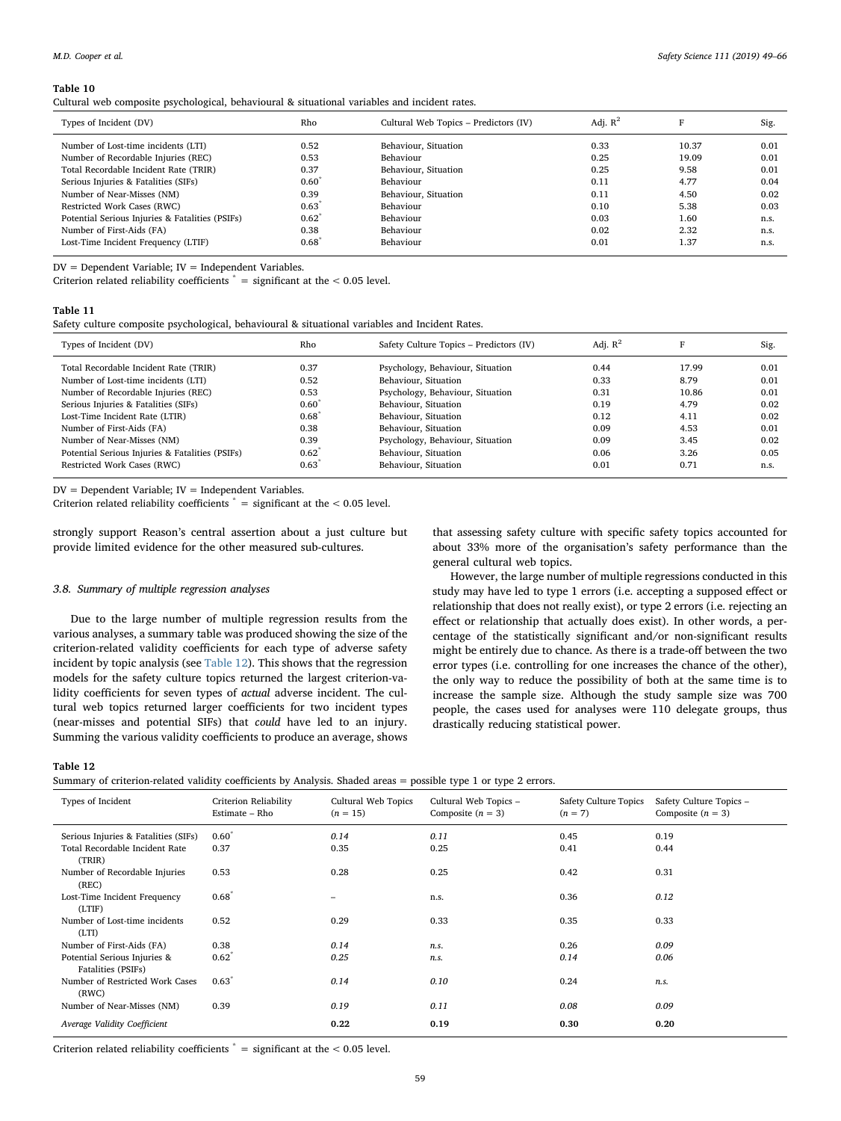<span id="page-10-0"></span>Cultural web composite psychological, behavioural & situational variables and incident rates.

| Types of Incident (DV)                          | Rho              | Cultural Web Topics - Predictors (IV) | Adj. $R^2$ | П     | Sig. |
|-------------------------------------------------|------------------|---------------------------------------|------------|-------|------|
| Number of Lost-time incidents (LTI)             | 0.52             | Behaviour, Situation                  | 0.33       | 10.37 | 0.01 |
| Number of Recordable Injuries (REC)             | 0.53             | Behaviour                             | 0.25       | 19.09 | 0.01 |
| Total Recordable Incident Rate (TRIR)           | 0.37             | Behaviour, Situation                  | 0.25       | 9.58  | 0.01 |
| Serious Injuries & Fatalities (SIFs)            | $0.60^{\circ}$   | Behaviour                             | 0.11       | 4.77  | 0.04 |
| Number of Near-Misses (NM)                      | 0.39             | Behaviour, Situation                  | 0.11       | 4.50  | 0.02 |
| Restricted Work Cases (RWC)                     | $0.63^{\circ}$   | Behaviour                             | 0.10       | 5.38  | 0.03 |
| Potential Serious Injuries & Fatalities (PSIFs) | $0.62^*$         | Behaviour                             | 0.03       | 1.60  | n.s. |
| Number of First-Aids (FA)                       | 0.38             | Behaviour                             | 0.02       | 2.32  | n.s. |
| Lost-Time Incident Frequency (LTIF)             | $0.68^{\degree}$ | Behaviour                             | 0.01       | 1.37  | n.s. |
|                                                 |                  |                                       |            |       |      |

 $DV = Dependent Variable$ ;  $IV = Independent Variable$ .

Criterion related reliability coefficients  $* =$  significant at the  $< 0.05$  level.

# <span id="page-10-1"></span>Table 11

Safety culture composite psychological, behavioural & situational variables and Incident Rates.

| Types of Incident (DV)                          | Rho              | Safety Culture Topics – Predictors (IV) | Adi. $R^2$ |       | Sig. |
|-------------------------------------------------|------------------|-----------------------------------------|------------|-------|------|
| Total Recordable Incident Rate (TRIR)           | 0.37             | Psychology, Behaviour, Situation        | 0.44       | 17.99 | 0.01 |
| Number of Lost-time incidents (LTI)             | 0.52             | Behaviour, Situation                    | 0.33       | 8.79  | 0.01 |
| Number of Recordable Injuries (REC)             | 0.53             | Psychology, Behaviour, Situation        | 0.31       | 10.86 | 0.01 |
| Serious Injuries & Fatalities (SIFs)            | $0.60^{\degree}$ | Behaviour, Situation                    | 0.19       | 4.79  | 0.02 |
| Lost-Time Incident Rate (LTIR)                  | 0.68             | Behaviour, Situation                    | 0.12       | 4.11  | 0.02 |
| Number of First-Aids (FA)                       | 0.38             | Behaviour, Situation                    | 0.09       | 4.53  | 0.01 |
| Number of Near-Misses (NM)                      | 0.39             | Psychology, Behaviour, Situation        | 0.09       | 3.45  | 0.02 |
| Potential Serious Injuries & Fatalities (PSIFs) | 0.62             | Behaviour, Situation                    | 0.06       | 3.26  | 0.05 |
| Restricted Work Cases (RWC)                     | 0.63             | Behaviour, Situation                    | 0.01       | 0.71  | n.s. |

 $DV = Dependent Variable$ ;  $IV = Independent Variable$ .

Criterion related reliability coefficients  $* =$  significant at the < 0.05 level.

strongly support Reason's central assertion about a just culture but provide limited evidence for the other measured sub-cultures.

## 3.8. Summary of multiple regression analyses

Due to the large number of multiple regression results from the various analyses, a summary table was produced showing the size of the criterion-related validity coefficients for each type of adverse safety incident by topic analysis (see [Table 12\)](#page-10-2). This shows that the regression models for the safety culture topics returned the largest criterion-validity coefficients for seven types of actual adverse incident. The cultural web topics returned larger coefficients for two incident types (near-misses and potential SIFs) that could have led to an injury. Summing the various validity coefficients to produce an average, shows

# <span id="page-10-2"></span>Table 12

Summary of criterion-related validity coefficients by Analysis. Shaded areas = possible type 1 or type 2 errors.

| Types of Incident                                  | Criterion Reliability<br>Estimate - Rho | Cultural Web Topics<br>$(n = 15)$ | Cultural Web Topics -<br>Composite $(n = 3)$ | <b>Safety Culture Topics</b><br>$(n = 7)$ | Safety Culture Topics -<br>Composite $(n = 3)$ |
|----------------------------------------------------|-----------------------------------------|-----------------------------------|----------------------------------------------|-------------------------------------------|------------------------------------------------|
| Serious Injuries & Fatalities (SIFs)               | $0.60^*$                                | 0.14                              | 0.11                                         | 0.45                                      | 0.19                                           |
| Total Recordable Incident Rate<br>(TRIR)           | 0.37                                    | 0.35                              | 0.25                                         | 0.41                                      | 0.44                                           |
| Number of Recordable Injuries<br>(REC)             | 0.53                                    | 0.28                              | 0.25                                         | 0.42                                      | 0.31                                           |
| Lost-Time Incident Frequency<br>(LTIF)             | 0.68                                    | $\qquad \qquad$                   | n.s.                                         | 0.36                                      | 0.12                                           |
| Number of Lost-time incidents<br>(LTI)             | 0.52                                    | 0.29                              | 0.33                                         | 0.35                                      | 0.33                                           |
| Number of First-Aids (FA)                          | 0.38                                    | 0.14                              | n.s.                                         | 0.26                                      | 0.09                                           |
| Potential Serious Injuries &<br>Fatalities (PSIFs) | 0.62                                    | 0.25                              | n.s.                                         | 0.14                                      | 0.06                                           |
| Number of Restricted Work Cases<br>(RWC)           | 0.63                                    | 0.14                              | 0.10                                         | 0.24                                      | n.s.                                           |
| Number of Near-Misses (NM)                         | 0.39                                    | 0.19                              | 0.11                                         | 0.08                                      | 0.09                                           |
| Average Validity Coefficient                       |                                         | 0.22                              | 0.19                                         | 0.30                                      | 0.20                                           |

Criterion related reliability coefficients  $* =$  significant at the  $< 0.05$  level.

that assessing safety culture with specific safety topics accounted for about 33% more of the organisation's safety performance than the general cultural web topics.

However, the large number of multiple regressions conducted in this study may have led to type 1 errors (i.e. accepting a supposed effect or relationship that does not really exist), or type 2 errors (i.e. rejecting an effect or relationship that actually does exist). In other words, a percentage of the statistically significant and/or non-significant results might be entirely due to chance. As there is a trade-off between the two error types (i.e. controlling for one increases the chance of the other), the only way to reduce the possibility of both at the same time is to increase the sample size. Although the study sample size was 700 people, the cases used for analyses were 110 delegate groups, thus drastically reducing statistical power.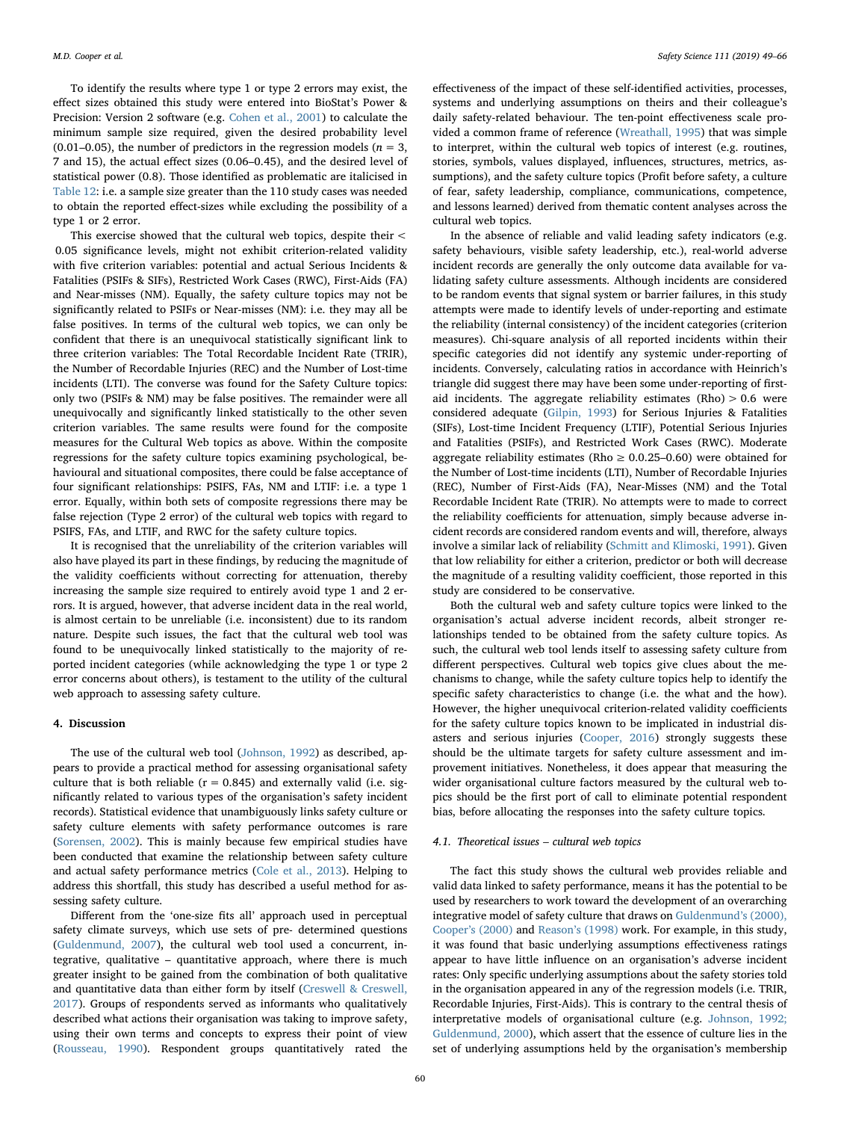To identify the results where type 1 or type 2 errors may exist, the effect sizes obtained this study were entered into BioStat's Power & Precision: Version 2 software (e.g. [Cohen et al., 2001](#page-15-22)) to calculate the minimum sample size required, given the desired probability level (0.01–0.05), the number of predictors in the regression models ( $n = 3$ , 7 and 15), the actual effect sizes (0.06–0.45), and the desired level of statistical power (0.8). Those identified as problematic are italicised in [Table 12](#page-10-2): i.e. a sample size greater than the 110 study cases was needed to obtain the reported effect-sizes while excluding the possibility of a type 1 or 2 error.

This exercise showed that the cultural web topics, despite their < 0.05 significance levels, might not exhibit criterion-related validity with five criterion variables: potential and actual Serious Incidents & Fatalities (PSIFs & SIFs), Restricted Work Cases (RWC), First-Aids (FA) and Near-misses (NM). Equally, the safety culture topics may not be significantly related to PSIFs or Near-misses (NM): i.e. they may all be false positives. In terms of the cultural web topics, we can only be confident that there is an unequivocal statistically significant link to three criterion variables: The Total Recordable Incident Rate (TRIR), the Number of Recordable Injuries (REC) and the Number of Lost-time incidents (LTI). The converse was found for the Safety Culture topics: only two (PSIFs & NM) may be false positives. The remainder were all unequivocally and significantly linked statistically to the other seven criterion variables. The same results were found for the composite measures for the Cultural Web topics as above. Within the composite regressions for the safety culture topics examining psychological, behavioural and situational composites, there could be false acceptance of four significant relationships: PSIFS, FAs, NM and LTIF: i.e. a type 1 error. Equally, within both sets of composite regressions there may be false rejection (Type 2 error) of the cultural web topics with regard to PSIFS, FAs, and LTIF, and RWC for the safety culture topics.

It is recognised that the unreliability of the criterion variables will also have played its part in these findings, by reducing the magnitude of the validity coefficients without correcting for attenuation, thereby increasing the sample size required to entirely avoid type 1 and 2 errors. It is argued, however, that adverse incident data in the real world, is almost certain to be unreliable (i.e. inconsistent) due to its random nature. Despite such issues, the fact that the cultural web tool was found to be unequivocally linked statistically to the majority of reported incident categories (while acknowledging the type 1 or type 2 error concerns about others), is testament to the utility of the cultural web approach to assessing safety culture.

#### 4. Discussion

The use of the cultural web tool [\(Johnson, 1992](#page-16-13)) as described, appears to provide a practical method for assessing organisational safety culture that is both reliable ( $r = 0.845$ ) and externally valid (i.e. significantly related to various types of the organisation's safety incident records). Statistical evidence that unambiguously links safety culture or safety culture elements with safety performance outcomes is rare ([Sorensen, 2002\)](#page-17-7). This is mainly because few empirical studies have been conducted that examine the relationship between safety culture and actual safety performance metrics ([Cole et al., 2013](#page-15-23)). Helping to address this shortfall, this study has described a useful method for assessing safety culture.

Different from the 'one-size fits all' approach used in perceptual safety climate surveys, which use sets of pre- determined questions ([Guldenmund, 2007\)](#page-16-51), the cultural web tool used a concurrent, integrative, qualitative – quantitative approach, where there is much greater insight to be gained from the combination of both qualitative and quantitative data than either form by itself ([Creswell & Creswell,](#page-15-24) [2017\)](#page-15-24). Groups of respondents served as informants who qualitatively described what actions their organisation was taking to improve safety, using their own terms and concepts to express their point of view ([Rousseau, 1990](#page-16-52)). Respondent groups quantitatively rated the

effectiveness of the impact of these self-identified activities, processes, systems and underlying assumptions on theirs and their colleague's daily safety-related behaviour. The ten-point effectiveness scale provided a common frame of reference [\(Wreathall, 1995](#page-17-8)) that was simple to interpret, within the cultural web topics of interest (e.g. routines, stories, symbols, values displayed, influences, structures, metrics, assumptions), and the safety culture topics (Profit before safety, a culture of fear, safety leadership, compliance, communications, competence, and lessons learned) derived from thematic content analyses across the cultural web topics.

In the absence of reliable and valid leading safety indicators (e.g. safety behaviours, visible safety leadership, etc.), real-world adverse incident records are generally the only outcome data available for validating safety culture assessments. Although incidents are considered to be random events that signal system or barrier failures, in this study attempts were made to identify levels of under-reporting and estimate the reliability (internal consistency) of the incident categories (criterion measures). Chi-square analysis of all reported incidents within their specific categories did not identify any systemic under-reporting of incidents. Conversely, calculating ratios in accordance with Heinrich's triangle did suggest there may have been some under-reporting of firstaid incidents. The aggregate reliability estimates  $(Rho) > 0.6$  were considered adequate ([Gilpin, 1993\)](#page-16-53) for Serious Injuries & Fatalities (SIFs), Lost-time Incident Frequency (LTIF), Potential Serious Injuries and Fatalities (PSIFs), and Restricted Work Cases (RWC). Moderate aggregate reliability estimates (Rho  $\geq$  0.0.25–0.60) were obtained for the Number of Lost-time incidents (LTI), Number of Recordable Injuries (REC), Number of First-Aids (FA), Near-Misses (NM) and the Total Recordable Incident Rate (TRIR). No attempts were to made to correct the reliability coefficients for attenuation, simply because adverse incident records are considered random events and will, therefore, always involve a similar lack of reliability [\(Schmitt and Klimoski, 1991\)](#page-16-54). Given that low reliability for either a criterion, predictor or both will decrease the magnitude of a resulting validity coefficient, those reported in this study are considered to be conservative.

Both the cultural web and safety culture topics were linked to the organisation's actual adverse incident records, albeit stronger relationships tended to be obtained from the safety culture topics. As such, the cultural web tool lends itself to assessing safety culture from different perspectives. Cultural web topics give clues about the mechanisms to change, while the safety culture topics help to identify the specific safety characteristics to change (i.e. the what and the how). However, the higher unequivocal criterion-related validity coefficients for the safety culture topics known to be implicated in industrial disasters and serious injuries ([Cooper, 2016\)](#page-15-12) strongly suggests these should be the ultimate targets for safety culture assessment and improvement initiatives. Nonetheless, it does appear that measuring the wider organisational culture factors measured by the cultural web topics should be the first port of call to eliminate potential respondent bias, before allocating the responses into the safety culture topics.

## 4.1. Theoretical issues – cultural web topics

The fact this study shows the cultural web provides reliable and valid data linked to safety performance, means it has the potential to be used by researchers to work toward the development of an overarching integrative model of safety culture that draws on [Guldenmund](#page-16-4)'s (2000), Cooper'[s \(2000\)](#page-16-4) and Reason'[s \(1998\)](#page-16-10) work. For example, in this study, it was found that basic underlying assumptions effectiveness ratings appear to have little influence on an organisation's adverse incident rates: Only specific underlying assumptions about the safety stories told in the organisation appeared in any of the regression models (i.e. TRIR, Recordable Injuries, First-Aids). This is contrary to the central thesis of interpretative models of organisational culture (e.g. [Johnson, 1992;](#page-16-13) [Guldenmund, 2000\)](#page-16-13), which assert that the essence of culture lies in the set of underlying assumptions held by the organisation's membership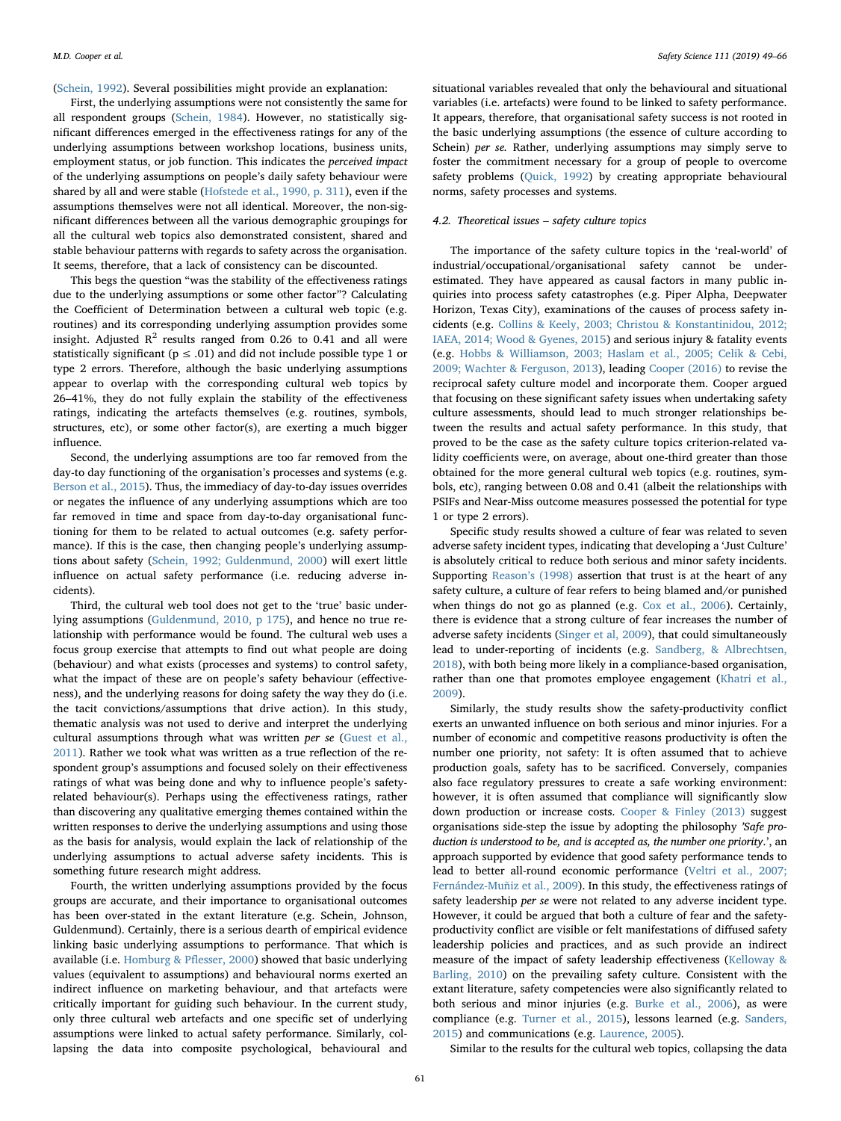([Schein, 1992\)](#page-16-5). Several possibilities might provide an explanation:

First, the underlying assumptions were not consistently the same for all respondent groups [\(Schein, 1984](#page-16-55)). However, no statistically significant differences emerged in the effectiveness ratings for any of the underlying assumptions between workshop locations, business units, employment status, or job function. This indicates the perceived impact of the underlying assumptions on people's daily safety behaviour were shared by all and were stable ([Hofstede et al., 1990, p. 311](#page-16-44)), even if the assumptions themselves were not all identical. Moreover, the non-significant differences between all the various demographic groupings for all the cultural web topics also demonstrated consistent, shared and stable behaviour patterns with regards to safety across the organisation. It seems, therefore, that a lack of consistency can be discounted.

This begs the question "was the stability of the effectiveness ratings due to the underlying assumptions or some other factor"? Calculating the Coefficient of Determination between a cultural web topic (e.g. routines) and its corresponding underlying assumption provides some insight. Adjusted  $\mathbb{R}^2$  results ranged from 0.26 to 0.41 and all were statistically significant ( $p \leq .01$ ) and did not include possible type 1 or type 2 errors. Therefore, although the basic underlying assumptions appear to overlap with the corresponding cultural web topics by 26–41%, they do not fully explain the stability of the effectiveness ratings, indicating the artefacts themselves (e.g. routines, symbols, structures, etc), or some other factor(s), are exerting a much bigger influence.

Second, the underlying assumptions are too far removed from the day-to day functioning of the organisation's processes and systems (e.g. [Berson et al., 2015\)](#page-15-25). Thus, the immediacy of day-to-day issues overrides or negates the influence of any underlying assumptions which are too far removed in time and space from day-to-day organisational functioning for them to be related to actual outcomes (e.g. safety performance). If this is the case, then changing people's underlying assumptions about safety ([Schein, 1992; Guldenmund, 2000\)](#page-16-5) will exert little influence on actual safety performance (i.e. reducing adverse incidents).

Third, the cultural web tool does not get to the 'true' basic underlying assumptions [\(Guldenmund, 2010, p 175](#page-16-56)), and hence no true relationship with performance would be found. The cultural web uses a focus group exercise that attempts to find out what people are doing (behaviour) and what exists (processes and systems) to control safety, what the impact of these are on people's safety behaviour (effectiveness), and the underlying reasons for doing safety the way they do (i.e. the tacit convictions/assumptions that drive action). In this study, thematic analysis was not used to derive and interpret the underlying cultural assumptions through what was written per se ([Guest et al.,](#page-16-57) [2011\)](#page-16-57). Rather we took what was written as a true reflection of the respondent group's assumptions and focused solely on their effectiveness ratings of what was being done and why to influence people's safetyrelated behaviour(s). Perhaps using the effectiveness ratings, rather than discovering any qualitative emerging themes contained within the written responses to derive the underlying assumptions and using those as the basis for analysis, would explain the lack of relationship of the underlying assumptions to actual adverse safety incidents. This is something future research might address.

Fourth, the written underlying assumptions provided by the focus groups are accurate, and their importance to organisational outcomes has been over-stated in the extant literature (e.g. Schein, Johnson, Guldenmund). Certainly, there is a serious dearth of empirical evidence linking basic underlying assumptions to performance. That which is available (i.e. [Homburg & P](#page-16-7)flesser, 2000) showed that basic underlying values (equivalent to assumptions) and behavioural norms exerted an indirect influence on marketing behaviour, and that artefacts were critically important for guiding such behaviour. In the current study, only three cultural web artefacts and one specific set of underlying assumptions were linked to actual safety performance. Similarly, collapsing the data into composite psychological, behavioural and

situational variables revealed that only the behavioural and situational variables (i.e. artefacts) were found to be linked to safety performance. It appears, therefore, that organisational safety success is not rooted in the basic underlying assumptions (the essence of culture according to Schein) per se. Rather, underlying assumptions may simply serve to foster the commitment necessary for a group of people to overcome safety problems ([Quick, 1992\)](#page-16-58) by creating appropriate behavioural norms, safety processes and systems.

# 4.2. Theoretical issues – safety culture topics

The importance of the safety culture topics in the 'real-world' of industrial/occupational/organisational safety cannot be underestimated. They have appeared as causal factors in many public inquiries into process safety catastrophes (e.g. Piper Alpha, Deepwater Horizon, Texas City), examinations of the causes of process safety incidents (e.g. [Collins & Keely, 2003; Christou & Konstantinidou, 2012;](#page-15-26) [IAEA, 2014; Wood & Gyenes, 2015\)](#page-15-26) and serious injury & fatality events (e.g. [Hobbs & Williamson, 2003; Haslam et al., 2005; Celik & Cebi,](#page-16-59) [2009; Wachter & Ferguson, 2013\)](#page-16-59), leading [Cooper \(2016\)](#page-15-12) to revise the reciprocal safety culture model and incorporate them. Cooper argued that focusing on these significant safety issues when undertaking safety culture assessments, should lead to much stronger relationships between the results and actual safety performance. In this study, that proved to be the case as the safety culture topics criterion-related validity coefficients were, on average, about one-third greater than those obtained for the more general cultural web topics (e.g. routines, symbols, etc), ranging between 0.08 and 0.41 (albeit the relationships with PSIFs and Near-Miss outcome measures possessed the potential for type 1 or type 2 errors).

Specific study results showed a culture of fear was related to seven adverse safety incident types, indicating that developing a 'Just Culture' is absolutely critical to reduce both serious and minor safety incidents. Supporting Reason'[s \(1998\)](#page-16-10) assertion that trust is at the heart of any safety culture, a culture of fear refers to being blamed and/or punished when things do not go as planned (e.g. [Cox et al., 2006](#page-15-27)). Certainly, there is evidence that a strong culture of fear increases the number of adverse safety incidents [\(Singer et al, 2009\)](#page-17-9), that could simultaneously lead to under-reporting of incidents (e.g. [Sandberg, & Albrechtsen,](#page-16-60) [2018\)](#page-16-60), with both being more likely in a compliance-based organisation, rather than one that promotes employee engagement [\(Khatri et al.,](#page-16-61) [2009\)](#page-16-61).

Similarly, the study results show the safety-productivity conflict exerts an unwanted influence on both serious and minor injuries. For a number of economic and competitive reasons productivity is often the number one priority, not safety: It is often assumed that to achieve production goals, safety has to be sacrificed. Conversely, companies also face regulatory pressures to create a safe working environment: however, it is often assumed that compliance will significantly slow down production or increase costs. [Cooper & Finley \(2013\)](#page-15-11) suggest organisations side-step the issue by adopting the philosophy 'Safe production is understood to be, and is accepted as, the number one priority.', an approach supported by evidence that good safety performance tends to lead to better all-round economic performance ([Veltri et al., 2007;](#page-17-10) [Fernández-Muñiz et al., 2009](#page-17-10)). In this study, the effectiveness ratings of safety leadership per se were not related to any adverse incident type. However, it could be argued that both a culture of fear and the safetyproductivity conflict are visible or felt manifestations of diffused safety leadership policies and practices, and as such provide an indirect measure of the impact of safety leadership effectiveness [\(Kelloway &](#page-16-62) [Barling, 2010](#page-16-62)) on the prevailing safety culture. Consistent with the extant literature, safety competencies were also significantly related to both serious and minor injuries (e.g. [Burke et al., 2006](#page-15-28)), as were compliance (e.g. [Turner et al., 2015\)](#page-17-11), lessons learned (e.g. [Sanders,](#page-16-63) [2015\)](#page-16-63) and communications (e.g. [Laurence, 2005\)](#page-16-64).

Similar to the results for the cultural web topics, collapsing the data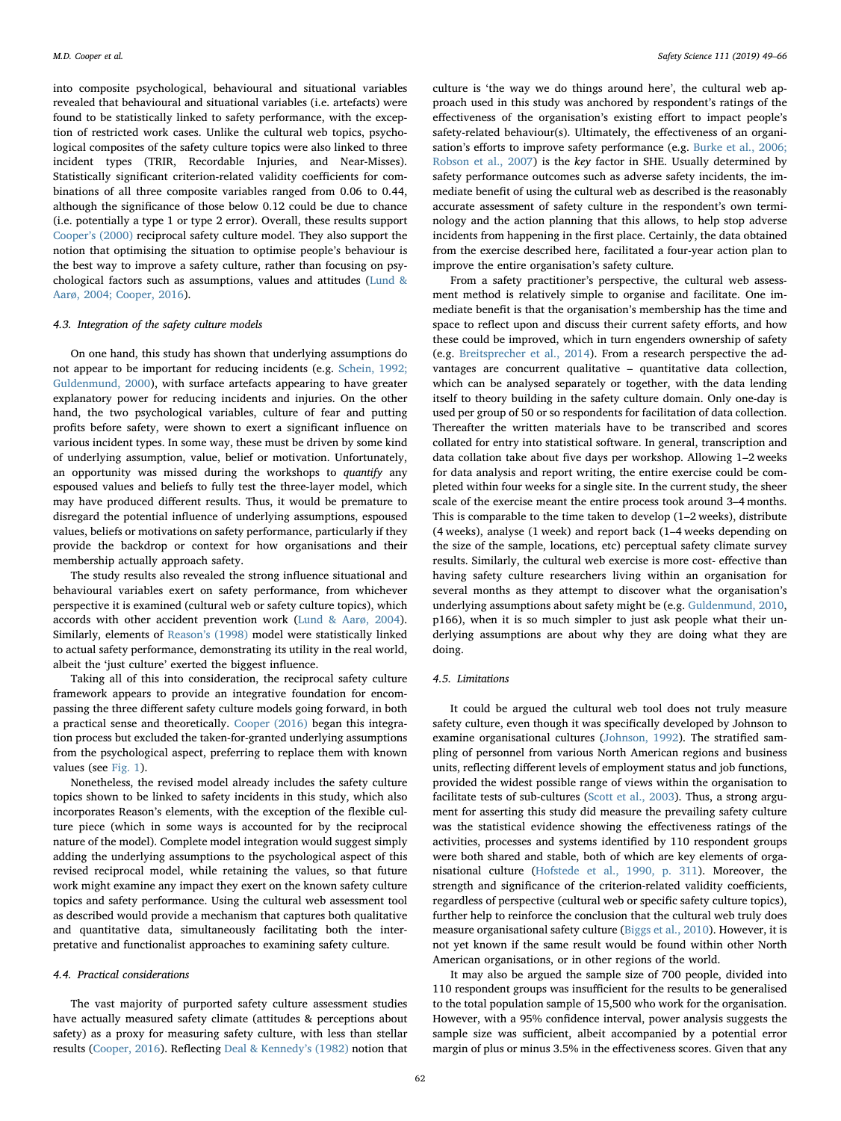into composite psychological, behavioural and situational variables revealed that behavioural and situational variables (i.e. artefacts) were found to be statistically linked to safety performance, with the exception of restricted work cases. Unlike the cultural web topics, psychological composites of the safety culture topics were also linked to three incident types (TRIR, Recordable Injuries, and Near-Misses). Statistically significant criterion-related validity coefficients for combinations of all three composite variables ranged from 0.06 to 0.44, although the significance of those below 0.12 could be due to chance (i.e. potentially a type 1 or type 2 error). Overall, these results support Cooper'[s \(2000\)](#page-15-2) reciprocal safety culture model. They also support the notion that optimising the situation to optimise people's behaviour is the best way to improve a safety culture, rather than focusing on psychological factors such as assumptions, values and attitudes ([Lund &](#page-16-8) [Aarø, 2004; Cooper, 2016](#page-16-8)).

# 4.3. Integration of the safety culture models

On one hand, this study has shown that underlying assumptions do not appear to be important for reducing incidents (e.g. [Schein, 1992;](#page-16-5) [Guldenmund, 2000\)](#page-16-5), with surface artefacts appearing to have greater explanatory power for reducing incidents and injuries. On the other hand, the two psychological variables, culture of fear and putting profits before safety, were shown to exert a significant influence on various incident types. In some way, these must be driven by some kind of underlying assumption, value, belief or motivation. Unfortunately, an opportunity was missed during the workshops to quantify any espoused values and beliefs to fully test the three-layer model, which may have produced different results. Thus, it would be premature to disregard the potential influence of underlying assumptions, espoused values, beliefs or motivations on safety performance, particularly if they provide the backdrop or context for how organisations and their membership actually approach safety.

The study results also revealed the strong influence situational and behavioural variables exert on safety performance, from whichever perspective it is examined (cultural web or safety culture topics), which accords with other accident prevention work [\(Lund & Aarø, 2004](#page-16-8)). Similarly, elements of Reason'[s \(1998\)](#page-16-10) model were statistically linked to actual safety performance, demonstrating its utility in the real world, albeit the 'just culture' exerted the biggest influence.

Taking all of this into consideration, the reciprocal safety culture framework appears to provide an integrative foundation for encompassing the three different safety culture models going forward, in both a practical sense and theoretically. [Cooper \(2016\)](#page-15-12) began this integration process but excluded the taken-for-granted underlying assumptions from the psychological aspect, preferring to replace them with known values (see [Fig. 1](#page-14-0)).

Nonetheless, the revised model already includes the safety culture topics shown to be linked to safety incidents in this study, which also incorporates Reason's elements, with the exception of the flexible culture piece (which in some ways is accounted for by the reciprocal nature of the model). Complete model integration would suggest simply adding the underlying assumptions to the psychological aspect of this revised reciprocal model, while retaining the values, so that future work might examine any impact they exert on the known safety culture topics and safety performance. Using the cultural web assessment tool as described would provide a mechanism that captures both qualitative and quantitative data, simultaneously facilitating both the interpretative and functionalist approaches to examining safety culture.

#### 4.4. Practical considerations

The vast majority of purported safety culture assessment studies have actually measured safety climate (attitudes & perceptions about safety) as a proxy for measuring safety culture, with less than stellar results ([Cooper, 2016\)](#page-15-12). Reflecting [Deal & Kennedy](#page-16-20)'s (1982) notion that culture is 'the way we do things around here', the cultural web approach used in this study was anchored by respondent's ratings of the effectiveness of the organisation's existing effort to impact people's safety-related behaviour(s). Ultimately, the effectiveness of an organisation's efforts to improve safety performance (e.g. [Burke et al., 2006;](#page-15-28) [Robson et al., 2007\)](#page-15-28) is the key factor in SHE. Usually determined by safety performance outcomes such as adverse safety incidents, the immediate benefit of using the cultural web as described is the reasonably accurate assessment of safety culture in the respondent's own terminology and the action planning that this allows, to help stop adverse incidents from happening in the first place. Certainly, the data obtained from the exercise described here, facilitated a four-year action plan to improve the entire organisation's safety culture.

From a safety practitioner's perspective, the cultural web assessment method is relatively simple to organise and facilitate. One immediate benefit is that the organisation's membership has the time and space to reflect upon and discuss their current safety efforts, and how these could be improved, which in turn engenders ownership of safety (e.g. [Breitsprecher et al., 2014\)](#page-15-29). From a research perspective the advantages are concurrent qualitative – quantitative data collection, which can be analysed separately or together, with the data lending itself to theory building in the safety culture domain. Only one-day is used per group of 50 or so respondents for facilitation of data collection. Thereafter the written materials have to be transcribed and scores collated for entry into statistical software. In general, transcription and data collation take about five days per workshop. Allowing 1–2 weeks for data analysis and report writing, the entire exercise could be completed within four weeks for a single site. In the current study, the sheer scale of the exercise meant the entire process took around 3–4 months. This is comparable to the time taken to develop (1–2 weeks), distribute (4 weeks), analyse (1 week) and report back (1–4 weeks depending on the size of the sample, locations, etc) perceptual safety climate survey results. Similarly, the cultural web exercise is more cost- effective than having safety culture researchers living within an organisation for several months as they attempt to discover what the organisation's underlying assumptions about safety might be (e.g. [Guldenmund, 2010](#page-16-56), p166), when it is so much simpler to just ask people what their underlying assumptions are about why they are doing what they are doing.

#### 4.5. Limitations

It could be argued the cultural web tool does not truly measure safety culture, even though it was specifically developed by Johnson to examine organisational cultures ([Johnson, 1992\)](#page-16-13). The stratified sampling of personnel from various North American regions and business units, reflecting different levels of employment status and job functions, provided the widest possible range of views within the organisation to facilitate tests of sub-cultures ([Scott et al., 2003\)](#page-17-12). Thus, a strong argument for asserting this study did measure the prevailing safety culture was the statistical evidence showing the effectiveness ratings of the activities, processes and systems identified by 110 respondent groups were both shared and stable, both of which are key elements of organisational culture ([Hofstede et al., 1990, p. 311\)](#page-16-44). Moreover, the strength and significance of the criterion-related validity coefficients, regardless of perspective (cultural web or specific safety culture topics), further help to reinforce the conclusion that the cultural web truly does measure organisational safety culture [\(Biggs et al., 2010](#page-15-13)). However, it is not yet known if the same result would be found within other North American organisations, or in other regions of the world.

It may also be argued the sample size of 700 people, divided into 110 respondent groups was insufficient for the results to be generalised to the total population sample of 15,500 who work for the organisation. However, with a 95% confidence interval, power analysis suggests the sample size was sufficient, albeit accompanied by a potential error margin of plus or minus 3.5% in the effectiveness scores. Given that any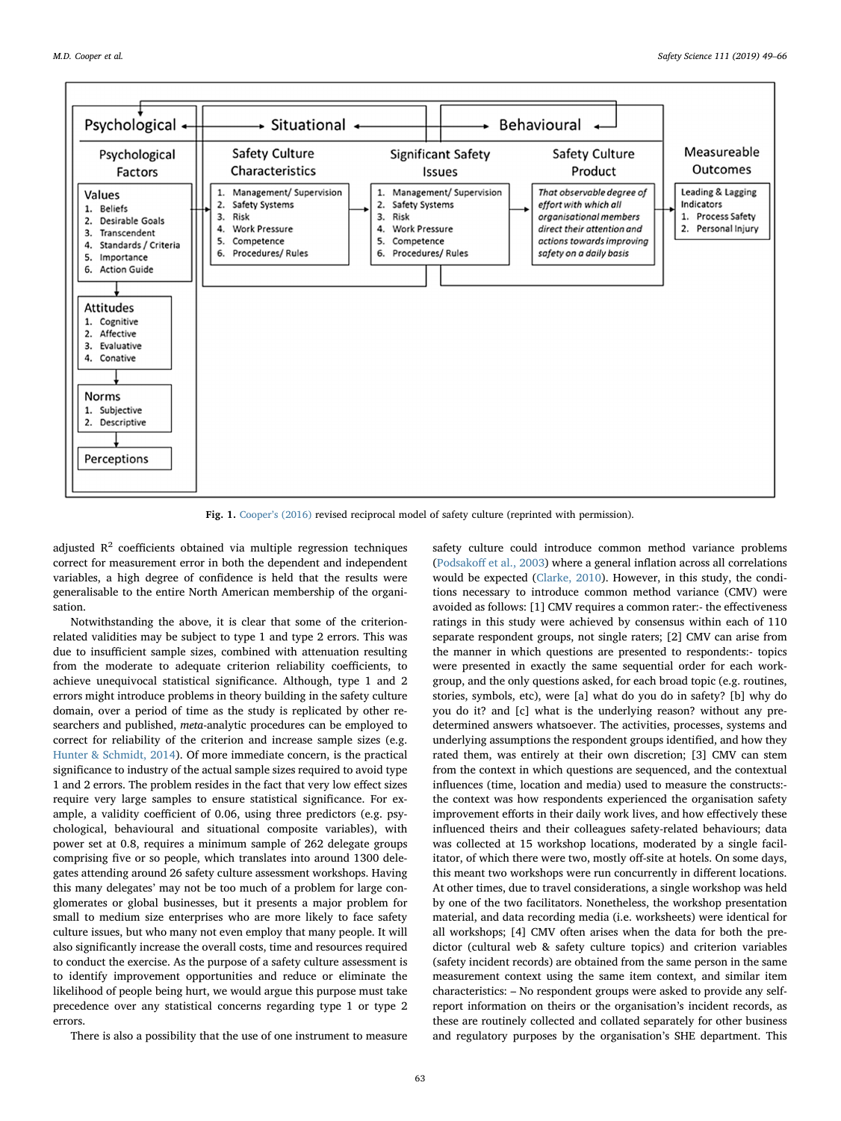<span id="page-14-0"></span>

Fig. 1. Cooper'[s \(2016\)](#page-15-12) revised reciprocal model of safety culture (reprinted with permission).

adjusted  $R<sup>2</sup>$  coefficients obtained via multiple regression techniques correct for measurement error in both the dependent and independent variables, a high degree of confidence is held that the results were generalisable to the entire North American membership of the organisation.

Notwithstanding the above, it is clear that some of the criterionrelated validities may be subject to type 1 and type 2 errors. This was due to insufficient sample sizes, combined with attenuation resulting from the moderate to adequate criterion reliability coefficients, to achieve unequivocal statistical significance. Although, type 1 and 2 errors might introduce problems in theory building in the safety culture domain, over a period of time as the study is replicated by other researchers and published, meta-analytic procedures can be employed to correct for reliability of the criterion and increase sample sizes (e.g. [Hunter & Schmidt, 2014](#page-16-65)). Of more immediate concern, is the practical significance to industry of the actual sample sizes required to avoid type 1 and 2 errors. The problem resides in the fact that very low effect sizes require very large samples to ensure statistical significance. For example, a validity coefficient of 0.06, using three predictors (e.g. psychological, behavioural and situational composite variables), with power set at 0.8, requires a minimum sample of 262 delegate groups comprising five or so people, which translates into around 1300 delegates attending around 26 safety culture assessment workshops. Having this many delegates' may not be too much of a problem for large conglomerates or global businesses, but it presents a major problem for small to medium size enterprises who are more likely to face safety culture issues, but who many not even employ that many people. It will also significantly increase the overall costs, time and resources required to conduct the exercise. As the purpose of a safety culture assessment is to identify improvement opportunities and reduce or eliminate the likelihood of people being hurt, we would argue this purpose must take precedence over any statistical concerns regarding type 1 or type 2 errors.

There is also a possibility that the use of one instrument to measure

safety culture could introduce common method variance problems (Podsakoff [et al., 2003\)](#page-16-37) where a general inflation across all correlations would be expected [\(Clarke, 2010](#page-15-30)). However, in this study, the conditions necessary to introduce common method variance (CMV) were avoided as follows: [1] CMV requires a common rater:- the effectiveness ratings in this study were achieved by consensus within each of 110 separate respondent groups, not single raters; [2] CMV can arise from the manner in which questions are presented to respondents:- topics were presented in exactly the same sequential order for each workgroup, and the only questions asked, for each broad topic (e.g. routines, stories, symbols, etc), were [a] what do you do in safety? [b] why do you do it? and [c] what is the underlying reason? without any predetermined answers whatsoever. The activities, processes, systems and underlying assumptions the respondent groups identified, and how they rated them, was entirely at their own discretion; [3] CMV can stem from the context in which questions are sequenced, and the contextual influences (time, location and media) used to measure the constructs: the context was how respondents experienced the organisation safety improvement efforts in their daily work lives, and how effectively these influenced theirs and their colleagues safety-related behaviours; data was collected at 15 workshop locations, moderated by a single facilitator, of which there were two, mostly off-site at hotels. On some days, this meant two workshops were run concurrently in different locations. At other times, due to travel considerations, a single workshop was held by one of the two facilitators. Nonetheless, the workshop presentation material, and data recording media (i.e. worksheets) were identical for all workshops; [4] CMV often arises when the data for both the predictor (cultural web & safety culture topics) and criterion variables (safety incident records) are obtained from the same person in the same measurement context using the same item context, and similar item characteristics: – No respondent groups were asked to provide any selfreport information on theirs or the organisation's incident records, as these are routinely collected and collated separately for other business and regulatory purposes by the organisation's SHE department. This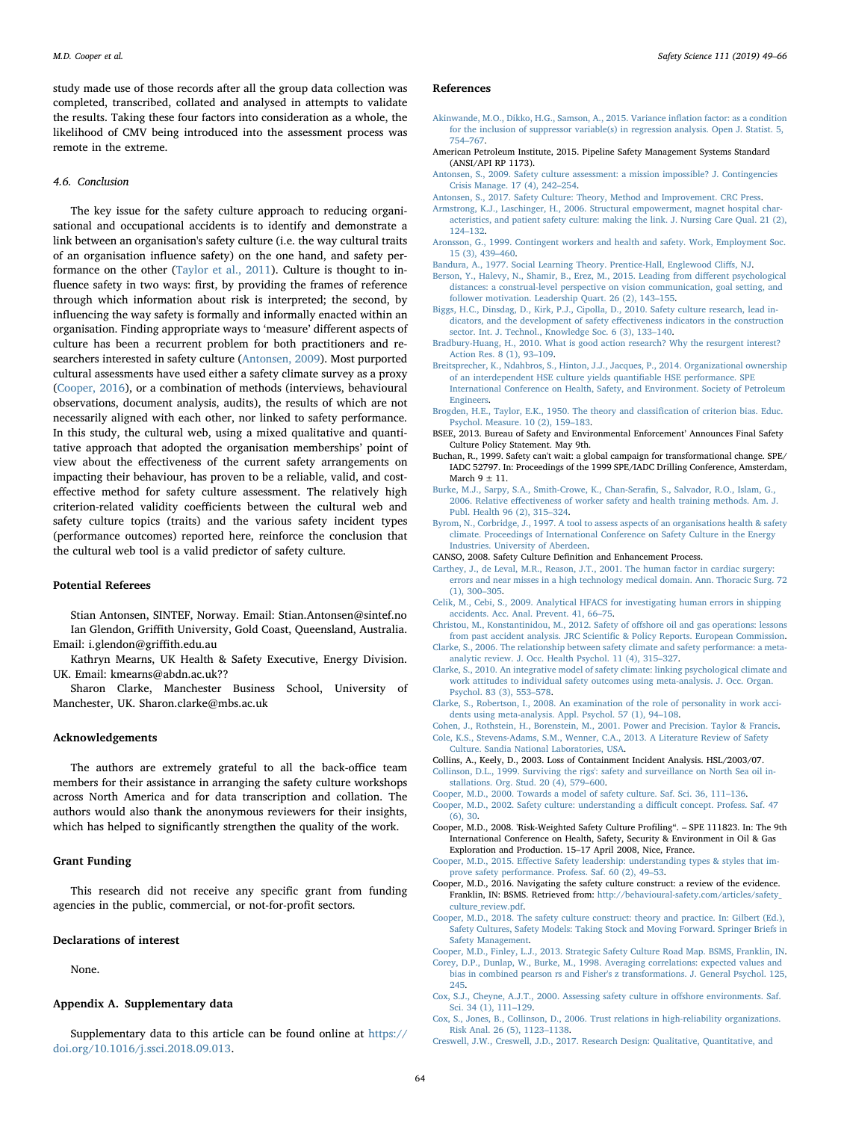study made use of those records after all the group data collection was completed, transcribed, collated and analysed in attempts to validate the results. Taking these four factors into consideration as a whole, the likelihood of CMV being introduced into the assessment process was remote in the extreme.

#### 4.6. Conclusion

The key issue for the safety culture approach to reducing organisational and occupational accidents is to identify and demonstrate a link between an organisation's safety culture (i.e. the way cultural traits of an organisation influence safety) on the one hand, and safety performance on the other ([Taylor et al., 2011](#page-17-13)). Culture is thought to influence safety in two ways: first, by providing the frames of reference through which information about risk is interpreted; the second, by influencing the way safety is formally and informally enacted within an organisation. Finding appropriate ways to 'measure' different aspects of culture has been a recurrent problem for both practitioners and researchers interested in safety culture [\(Antonsen, 2009\)](#page-15-31). Most purported cultural assessments have used either a safety climate survey as a proxy ([Cooper, 2016\)](#page-15-12), or a combination of methods (interviews, behavioural observations, document analysis, audits), the results of which are not necessarily aligned with each other, nor linked to safety performance. In this study, the cultural web, using a mixed qualitative and quantitative approach that adopted the organisation memberships' point of view about the effectiveness of the current safety arrangements on impacting their behaviour, has proven to be a reliable, valid, and costeffective method for safety culture assessment. The relatively high criterion-related validity coefficients between the cultural web and safety culture topics (traits) and the various safety incident types (performance outcomes) reported here, reinforce the conclusion that the cultural web tool is a valid predictor of safety culture.

## Potential Referees

Stian Antonsen, SINTEF, Norway. Email: Stian.Antonsen@sintef.no Ian Glendon, Griffith University, Gold Coast, Queensland, Australia. Email: i.glendon@griffith.edu.au

Kathryn Mearns, UK Health & Safety Executive, Energy Division. UK. Email: kmearns@abdn.ac.uk??

Sharon Clarke, Manchester Business School, University of Manchester, UK. Sharon.clarke@mbs.ac.uk

## Acknowledgements

The authors are extremely grateful to all the back-office team members for their assistance in arranging the safety culture workshops across North America and for data transcription and collation. The authors would also thank the anonymous reviewers for their insights, which has helped to significantly strengthen the quality of the work.

#### Grant Funding

This research did not receive any specific grant from funding agencies in the public, commercial, or not-for-profit sectors.

#### Declarations of interest

None.

#### Appendix A. Supplementary data

Supplementary data to this article can be found online at [https://](https://doi.org/10.1016/j.ssci.2018.09.013) [doi.org/10.1016/j.ssci.2018.09.013.](https://doi.org/10.1016/j.ssci.2018.09.013)

- <span id="page-15-20"></span>[Akinwande, M.O., Dikko, H.G., Samson, A., 2015. Variance in](http://refhub.elsevier.com/S0925-7535(18)30403-X/h0005)flation factor: as a condition [for the inclusion of suppressor variable\(s\) in regression analysis. Open J. Statist. 5,](http://refhub.elsevier.com/S0925-7535(18)30403-X/h0005) 754–[767](http://refhub.elsevier.com/S0925-7535(18)30403-X/h0005).
- <span id="page-15-4"></span>American Petroleum Institute, 2015. Pipeline Safety Management Systems Standard (ANSI/API RP 1173).
- <span id="page-15-31"></span>[Antonsen, S., 2009. Safety culture assessment: a mission impossible? J. Contingencies](http://refhub.elsevier.com/S0925-7535(18)30403-X/h0015) [Crisis Manage. 17 \(4\), 242](http://refhub.elsevier.com/S0925-7535(18)30403-X/h0015)–254.
- <span id="page-15-0"></span>[Antonsen, S., 2017. Safety Culture: Theory, Method and Improvement. CRC Press](http://refhub.elsevier.com/S0925-7535(18)30403-X/h0020).
- [Armstrong, K.J., Laschinger, H., 2006. Structural empowerment, magnet hospital char](http://refhub.elsevier.com/S0925-7535(18)30403-X/h0025)[acteristics, and patient safety culture: making the link. J. Nursing Care Qual. 21 \(2\),](http://refhub.elsevier.com/S0925-7535(18)30403-X/h0025) 124–[132](http://refhub.elsevier.com/S0925-7535(18)30403-X/h0025).
- <span id="page-15-21"></span>[Aronsson, G., 1999. Contingent workers and health and safety. Work, Employment Soc.](http://refhub.elsevier.com/S0925-7535(18)30403-X/h0030) [15 \(3\), 439](http://refhub.elsevier.com/S0925-7535(18)30403-X/h0030)–460.
- <span id="page-15-3"></span>[Bandura, A., 1977. Social Learning Theory. Prentice-Hall, Englewood Cli](http://refhub.elsevier.com/S0925-7535(18)30403-X/h0035)ffs, NJ.
- <span id="page-15-25"></span>[Berson, Y., Halevy, N., Shamir, B., Erez, M., 2015. Leading from di](http://refhub.elsevier.com/S0925-7535(18)30403-X/h0040)fferent psychological [distances: a construal-level perspective on vision communication, goal setting, and](http://refhub.elsevier.com/S0925-7535(18)30403-X/h0040) [follower motivation. Leadership Quart. 26 \(2\), 143](http://refhub.elsevier.com/S0925-7535(18)30403-X/h0040)–155.
- <span id="page-15-13"></span>[Biggs, H.C., Dinsdag, D., Kirk, P.J., Cipolla, D., 2010. Safety culture research, lead in](http://refhub.elsevier.com/S0925-7535(18)30403-X/h0045)[dicators, and the development of safety e](http://refhub.elsevier.com/S0925-7535(18)30403-X/h0045)ffectiveness indicators in the construction [sector. Int. J. Technol., Knowledge Soc. 6 \(3\), 133](http://refhub.elsevier.com/S0925-7535(18)30403-X/h0045)–140.
- <span id="page-15-14"></span>[Bradbury-Huang, H., 2010. What is good action research? Why the resurgent interest?](http://refhub.elsevier.com/S0925-7535(18)30403-X/h0050) [Action Res. 8 \(1\), 93](http://refhub.elsevier.com/S0925-7535(18)30403-X/h0050)–109.
- <span id="page-15-29"></span>[Breitsprecher, K., Ndahbros, S., Hinton, J.J., Jacques, P., 2014. Organizational ownership](http://refhub.elsevier.com/S0925-7535(18)30403-X/h0055) [of an interdependent HSE culture yields quanti](http://refhub.elsevier.com/S0925-7535(18)30403-X/h0055)fiable HSE performance. SPE [International Conference on Health, Safety, and Environment. Society of Petroleum](http://refhub.elsevier.com/S0925-7535(18)30403-X/h0055) [Engineers](http://refhub.elsevier.com/S0925-7535(18)30403-X/h0055).
- <span id="page-15-19"></span>[Brogden, H.E., Taylor, E.K., 1950. The theory and classi](http://refhub.elsevier.com/S0925-7535(18)30403-X/h0060)fication of criterion bias. Educ. [Psychol. Measure. 10 \(2\), 159](http://refhub.elsevier.com/S0925-7535(18)30403-X/h0060)–183.
- BSEE, 2013. Bureau of Safety and Environmental Enforcement' Announces Final Safety Culture Policy Statement. May 9th.
- <span id="page-15-7"></span>Buchan, R., 1999. Safety can't wait: a global campaign for transformational change. SPE/ IADC 52797. In: Proceedings of the 1999 SPE/IADC Drilling Conference, Amsterdam, March  $9 \pm 11$ .
- <span id="page-15-28"></span>[Burke, M.J., Sarpy, S.A., Smith-Crowe, K., Chan-Sera](http://refhub.elsevier.com/S0925-7535(18)30403-X/h0075)fin, S., Salvador, R.O., Islam, G., 2006. Relative eff[ectiveness of worker safety and health training methods. Am. J.](http://refhub.elsevier.com/S0925-7535(18)30403-X/h0075) [Publ. Health 96 \(2\), 315](http://refhub.elsevier.com/S0925-7535(18)30403-X/h0075)–324.
- <span id="page-15-10"></span>[Byrom, N., Corbridge, J., 1997. A tool to assess aspects of an organisations health & safety](http://refhub.elsevier.com/S0925-7535(18)30403-X/h0080) [climate. Proceedings of International Conference on Safety Culture in the Energy](http://refhub.elsevier.com/S0925-7535(18)30403-X/h0080) [Industries. University of Aberdeen](http://refhub.elsevier.com/S0925-7535(18)30403-X/h0080).
- CANSO, 2008. Safety Culture Definition and Enhancement Process.
- <span id="page-15-5"></span>[Carthey, J., de Leval, M.R., Reason, J.T., 2001. The human factor in cardiac surgery:](http://refhub.elsevier.com/S0925-7535(18)30403-X/h9015) [errors and near misses in a high technology medical domain. Ann. Thoracic Surg. 72](http://refhub.elsevier.com/S0925-7535(18)30403-X/h9015) [\(1\), 300](http://refhub.elsevier.com/S0925-7535(18)30403-X/h9015)–305.
- [Celik, M., Cebi, S., 2009. Analytical HFACS for investigating human errors in shipping](http://refhub.elsevier.com/S0925-7535(18)30403-X/h0090) [accidents. Acc. Anal. Prevent. 41, 66](http://refhub.elsevier.com/S0925-7535(18)30403-X/h0090)–75.
- Christou, [M., Konstantinidou, M., 2012. Safety of o](http://refhub.elsevier.com/S0925-7535(18)30403-X/h0095)ffshore oil and gas operations: lessons from past accident analysis. JRC Scientifi[c & Policy Reports. European Commission.](http://refhub.elsevier.com/S0925-7535(18)30403-X/h0095)
- <span id="page-15-9"></span>[Clarke, S., 2006. The relationship between safety climate and safety performance: a meta](http://refhub.elsevier.com/S0925-7535(18)30403-X/h0100)[analytic review. J. Occ. Health Psychol. 11 \(4\), 315](http://refhub.elsevier.com/S0925-7535(18)30403-X/h0100)–327.
- <span id="page-15-30"></span>[Clarke, S., 2010. An integrative model of safety climate: linking psychological climate and](http://refhub.elsevier.com/S0925-7535(18)30403-X/h0105) [work attitudes to individual safety outcomes using meta-analysis. J. Occ. Organ.](http://refhub.elsevier.com/S0925-7535(18)30403-X/h0105) [Psychol. 83 \(3\), 553](http://refhub.elsevier.com/S0925-7535(18)30403-X/h0105)–578.
- <span id="page-15-17"></span>[Clarke, S., Robertson, I., 2008. An examination of the role of personality in work acci](http://refhub.elsevier.com/S0925-7535(18)30403-X/h0110)[dents using meta-analysis. Appl. Psychol. 57 \(1\), 94](http://refhub.elsevier.com/S0925-7535(18)30403-X/h0110)–108.
- <span id="page-15-23"></span><span id="page-15-22"></span>[Cohen, J., Rothstein, H., Borenstein, M., 2001. Power and Precision. Taylor & Francis](http://refhub.elsevier.com/S0925-7535(18)30403-X/h0115). [Cole, K.S., Stevens-Adams, S.M., Wenner, C.A., 2013. A Literature Review of Safety](http://refhub.elsevier.com/S0925-7535(18)30403-X/h0120) [Culture. Sandia National Laboratories, USA.](http://refhub.elsevier.com/S0925-7535(18)30403-X/h0120)
- <span id="page-15-26"></span>Collins, A., Keely, D., 2003. Loss of Containment Incident Analysis. HSL/2003/07.
- <span id="page-15-6"></span>[Collinson, D.L., 1999. Surviving the rigs': safety and surveillance on North Sea oil in](http://refhub.elsevier.com/S0925-7535(18)30403-X/h0130)[stallations. Org. Stud. 20 \(4\), 579](http://refhub.elsevier.com/S0925-7535(18)30403-X/h0130)–600.

<span id="page-15-2"></span>[Cooper, M.D., 2000. Towards a model of safety culture. Saf. Sci. 36, 111](http://refhub.elsevier.com/S0925-7535(18)30403-X/h0135)–136.

- <span id="page-15-16"></span>[Cooper, M.D., 2002. Safety culture: understanding a di](http://refhub.elsevier.com/S0925-7535(18)30403-X/h0140)fficult concept. Profess. Saf. 47 [\(6\), 30.](http://refhub.elsevier.com/S0925-7535(18)30403-X/h0140)
- Cooper, M.D., 2008. 'Risk-Weighted Safety Culture Profiling". SPE 111823. In: The 9th International Conference on Health, Safety, Security & Environment in Oil & Gas Exploration and Production. 15–17 April 2008, Nice, France.
- <span id="page-15-15"></span>Cooper, M.D., 2015. Eff[ective Safety leadership: understanding types & styles that im](http://refhub.elsevier.com/S0925-7535(18)30403-X/h0150)[prove safety performance. Profess. Saf. 60 \(2\), 49](http://refhub.elsevier.com/S0925-7535(18)30403-X/h0150)–53.
- <span id="page-15-12"></span>Cooper, M.D., 2016. Navigating the safety culture construct: a review of the evidence. Franklin, IN: BSMS. Retrieved from: [http://behavioural-safety.com/articles/safety\\_](http://behavioural-safety.com/articles/safety_culture_review.pdf) [culture\\_review.pdf.](http://behavioural-safety.com/articles/safety_culture_review.pdf)
- <span id="page-15-1"></span>[Cooper, M.D., 2018. The safety culture construct: theory and practice. In: Gilbert \(Ed.\),](http://refhub.elsevier.com/S0925-7535(18)30403-X/h0160) [Safety Cultures, Safety Models: Taking Stock and Moving Forward. Springer Briefs in](http://refhub.elsevier.com/S0925-7535(18)30403-X/h0160) [Safety Management](http://refhub.elsevier.com/S0925-7535(18)30403-X/h0160).
- <span id="page-15-11"></span>[Cooper, M.D., Finley, L.J., 2013. Strategic Safety Culture Road Map. BSMS, Franklin, IN.](http://refhub.elsevier.com/S0925-7535(18)30403-X/h0165)
- <span id="page-15-18"></span>[Corey, D.P., Dunlap, W., Burke, M., 1998. Averaging correlations: expected values and](http://refhub.elsevier.com/S0925-7535(18)30403-X/h0170) [bias in combined pearson rs and Fisher's z transformations. J. General Psychol. 125,](http://refhub.elsevier.com/S0925-7535(18)30403-X/h0170) [245](http://refhub.elsevier.com/S0925-7535(18)30403-X/h0170).
- <span id="page-15-8"></span>[Cox, S.J., Cheyne, A.J.T., 2000. Assessing safety culture in o](http://refhub.elsevier.com/S0925-7535(18)30403-X/h0175)ffshore environments. Saf. [Sci. 34 \(1\), 111](http://refhub.elsevier.com/S0925-7535(18)30403-X/h0175)–129.
- <span id="page-15-27"></span>[Cox, S., Jones, B., Collinson, D., 2006. Trust relations in high-reliability organizations.](http://refhub.elsevier.com/S0925-7535(18)30403-X/h0180) [Risk Anal. 26 \(5\), 1123](http://refhub.elsevier.com/S0925-7535(18)30403-X/h0180)–1138.
- <span id="page-15-24"></span>[Creswell, J.W., Creswell, J.D., 2017. Research Design: Qualitative, Quantitative, and](http://refhub.elsevier.com/S0925-7535(18)30403-X/h0185)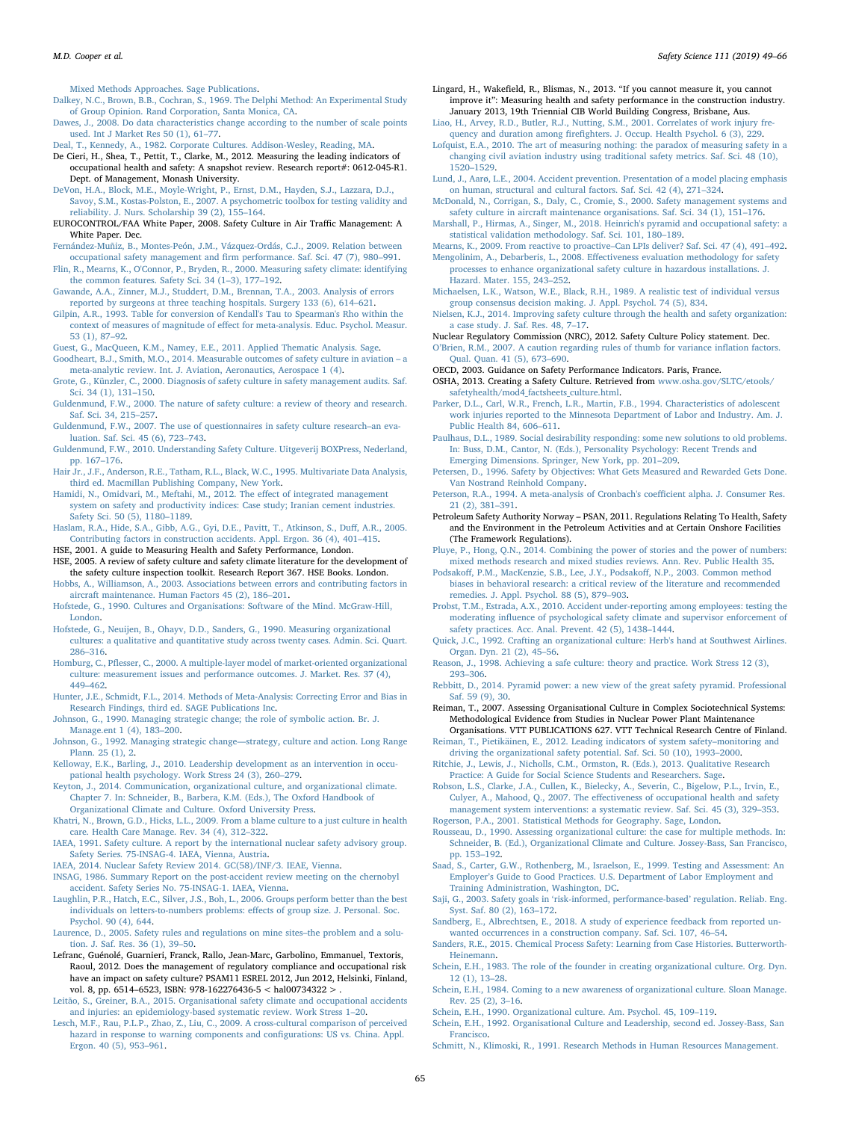[Mixed Methods Approaches. Sage Publications](http://refhub.elsevier.com/S0925-7535(18)30403-X/h0185).

<span id="page-16-16"></span>[Dalkey, N.C., Brown, B.B., Cochran, S., 1969. The Delphi Method: An Experimental Study](http://refhub.elsevier.com/S0925-7535(18)30403-X/h0190) [of Group Opinion. Rand Corporation, Santa Monica, CA.](http://refhub.elsevier.com/S0925-7535(18)30403-X/h0190)

- <span id="page-16-26"></span>[Dawes, J., 2008. Do data characteristics change according to the number of scale points](http://refhub.elsevier.com/S0925-7535(18)30403-X/h0195) [used. Int J Market Res 50 \(1\), 61](http://refhub.elsevier.com/S0925-7535(18)30403-X/h0195)–77.
- <span id="page-16-20"></span>[Deal, T., Kennedy, A., 1982. Corporate Cultures. Addison-Wesley, Reading, MA.](http://refhub.elsevier.com/S0925-7535(18)30403-X/h0200)
- <span id="page-16-33"></span>De Cieri, H., Shea, T., Pettit, T., Clarke, M., 2012. Measuring the leading indicators of occupational health and safety: A snapshot review. Research report#: 0612-045-R1. Dept. of Management, Monash University.
- <span id="page-16-45"></span>[DeVon, H.A., Block, M.E., Moyle-Wright, P., Ernst, D.M., Hayden, S.J., Lazzara, D.J.,](http://refhub.elsevier.com/S0925-7535(18)30403-X/h0210) [Savoy, S.M., Kostas-Polston, E., 2007. A psychometric toolbox for testing validity and](http://refhub.elsevier.com/S0925-7535(18)30403-X/h0210) [reliability. J. Nurs. Scholarship 39 \(2\), 155](http://refhub.elsevier.com/S0925-7535(18)30403-X/h0210)–164.
- EUROCONTROL/FAA White Paper, 2008. Safety Culture in Air Traffic Management: A White Paper. Dec.
- <span id="page-16-9"></span>[Fernández-Muñiz, B., Montes-Peón, J.M., Vázquez-Ordás, C.J., 2009. Relation between](http://refhub.elsevier.com/S0925-7535(18)30403-X/h0220) occupational safety management and fi[rm performance. Saf. Sci. 47 \(7\), 980](http://refhub.elsevier.com/S0925-7535(18)30403-X/h0220)–991.
- <span id="page-16-12"></span>[Flin, R., Mearns, K., O'Connor, P., Bryden, R., 2000. Measuring safety climate: identifying](http://refhub.elsevier.com/S0925-7535(18)30403-X/h9020) [the common features. Safety Sci. 34 \(1](http://refhub.elsevier.com/S0925-7535(18)30403-X/h9020)-3), 177-192.
- <span id="page-16-41"></span>[Gawande, A.A., Zinner, M.J., Studdert, D.M., Brennan, T.A., 2003. Analysis of errors](http://refhub.elsevier.com/S0925-7535(18)30403-X/h0225) [reported by surgeons at three teaching hospitals. Surgery 133 \(6\), 614](http://refhub.elsevier.com/S0925-7535(18)30403-X/h0225)–621.
- <span id="page-16-53"></span>[Gilpin, A.R., 1993. Table for conversion of Kendall's Tau to Spearman's Rho within the](http://refhub.elsevier.com/S0925-7535(18)30403-X/h0230) context of measures of magnitude of eff[ect for meta-analysis. Educ. Psychol. Measur.](http://refhub.elsevier.com/S0925-7535(18)30403-X/h0230) [53 \(1\), 87](http://refhub.elsevier.com/S0925-7535(18)30403-X/h0230)–92.
- <span id="page-16-57"></span>[Guest, G., MacQueen, K.M., Namey, E.E., 2011. Applied Thematic Analysis. Sage](http://refhub.elsevier.com/S0925-7535(18)30403-X/h0235). [Goodheart, B.J., Smith, M.O., 2014. Measurable outcomes of safety culture in aviation](http://refhub.elsevier.com/S0925-7535(18)30403-X/h0240) – a
- <span id="page-16-11"></span>[meta-analytic review. Int. J. Aviation, Aeronautics, Aerospace 1 \(4\)](http://refhub.elsevier.com/S0925-7535(18)30403-X/h0240). [Grote, G., Künzler, C., 2000. Diagnosis of safety culture in safety management audits. Saf.](http://refhub.elsevier.com/S0925-7535(18)30403-X/h0245)
- [Sci. 34 \(1\), 131](http://refhub.elsevier.com/S0925-7535(18)30403-X/h0245)–150.
- <span id="page-16-4"></span>[Guldenmund, F.W., 2000. The nature of safety culture: a review of theory and research.](http://refhub.elsevier.com/S0925-7535(18)30403-X/h0250) [Saf. Sci. 34, 215](http://refhub.elsevier.com/S0925-7535(18)30403-X/h0250)–257.
- <span id="page-16-51"></span>[Guldenmund, F.W., 2007. The use of questionnaires in safety culture research](http://refhub.elsevier.com/S0925-7535(18)30403-X/h0255)–an eva[luation. Saf. Sci. 45 \(6\), 723](http://refhub.elsevier.com/S0925-7535(18)30403-X/h0255)–743.
- <span id="page-16-56"></span>[Guldenmund, F.W., 2010. Understanding Safety Culture. Uitgeverij BOXPress, Nederland,](http://refhub.elsevier.com/S0925-7535(18)30403-X/h0260) [pp. 167](http://refhub.elsevier.com/S0925-7535(18)30403-X/h0260)–176.
- <span id="page-16-49"></span>[Hair Jr., J.F., Anderson, R.E., Tatham, R.L., Black, W.C., 1995. Multivariate Data Analysis,](http://refhub.elsevier.com/S0925-7535(18)30403-X/h0265) [third ed. Macmillan Publishing Company, New York.](http://refhub.elsevier.com/S0925-7535(18)30403-X/h0265)
- <span id="page-16-50"></span>[Hamidi, N., Omidvari, M., Meftahi, M., 2012. The e](http://refhub.elsevier.com/S0925-7535(18)30403-X/h9025)ffect of integrated management [system on safety and productivity indices: Case study; Iranian cement industries.](http://refhub.elsevier.com/S0925-7535(18)30403-X/h9025) [Safety Sci. 50 \(5\), 1180](http://refhub.elsevier.com/S0925-7535(18)30403-X/h9025)–1189.
- [Haslam, R.A., Hide, S.A., Gibb, A.G., Gyi, D.E., Pavitt, T., Atkinson, S., Du](http://refhub.elsevier.com/S0925-7535(18)30403-X/h0270)ff, A.R., 2005. [Contributing factors in construction accidents. Appl. Ergon. 36 \(4\), 401](http://refhub.elsevier.com/S0925-7535(18)30403-X/h0270)–415.
- <span id="page-16-25"></span>HSE, 2001. A guide to Measuring Health and Safety Performance, London.
- <span id="page-16-2"></span>HSE, 2005. A review of safety culture and safety climate literature for the development of the safety culture inspection toolkit. Research Report 367. HSE Books. London.
- <span id="page-16-59"></span>Hobbs, [A., Williamson, A., 2003. Associations between errors and contributing factors in](http://refhub.elsevier.com/S0925-7535(18)30403-X/h0285) [aircraft maintenance. Human Factors 45 \(2\), 186](http://refhub.elsevier.com/S0925-7535(18)30403-X/h0285)–201. [Hofstede, G., 1990. Cultures and Organisations: Software of the Mind. McGraw-Hill,](http://refhub.elsevier.com/S0925-7535(18)30403-X/h0290)
- <span id="page-16-15"></span>[London.](http://refhub.elsevier.com/S0925-7535(18)30403-X/h0290)
- <span id="page-16-44"></span>[Hofstede, G., Neuijen, B., Ohayv, D.D., Sanders, G., 1990. Measuring organizational](http://refhub.elsevier.com/S0925-7535(18)30403-X/h0295) [cultures: a qualitative and quantitative study across twenty cases. Admin. Sci. Quart.](http://refhub.elsevier.com/S0925-7535(18)30403-X/h0295) 286–[316](http://refhub.elsevier.com/S0925-7535(18)30403-X/h0295).
- <span id="page-16-7"></span>Homburg, C., Pfl[esser, C., 2000. A multiple-layer model of market-oriented organizational](http://refhub.elsevier.com/S0925-7535(18)30403-X/h0300) [culture: measurement issues and performance outcomes. J. Market. Res. 37 \(4\),](http://refhub.elsevier.com/S0925-7535(18)30403-X/h0300) 449–[462](http://refhub.elsevier.com/S0925-7535(18)30403-X/h0300).
- <span id="page-16-65"></span>[Hunter, J.E., Schmidt, F.L., 2014. Methods of Meta-Analysis: Correcting Error and Bias in](http://refhub.elsevier.com/S0925-7535(18)30403-X/h0305) [Research Findings, third ed. SAGE Publications Inc.](http://refhub.elsevier.com/S0925-7535(18)30403-X/h0305)
- <span id="page-16-22"></span>[Johnson, G., 1990. Managing strategic change; the role of symbolic action. Br. J.](http://refhub.elsevier.com/S0925-7535(18)30403-X/h0310) [Manage.ent 1 \(4\), 183](http://refhub.elsevier.com/S0925-7535(18)30403-X/h0310)–200.
- <span id="page-16-13"></span>[Johnson, G., 1992. Managing strategic change](http://refhub.elsevier.com/S0925-7535(18)30403-X/h0315)—strategy, culture and action. Long Range [Plann. 25 \(1\), 2.](http://refhub.elsevier.com/S0925-7535(18)30403-X/h0315)
- <span id="page-16-62"></span>[Kelloway, E.K., Barling, J., 2010. Leadership development as an intervention in occu](http://refhub.elsevier.com/S0925-7535(18)30403-X/h0320)[pational health psychology. Work Stress 24 \(3\), 260](http://refhub.elsevier.com/S0925-7535(18)30403-X/h0320)–279.
- <span id="page-16-19"></span>[Keyton, J., 2014. Communication, organizational culture, and organizational climate.](http://refhub.elsevier.com/S0925-7535(18)30403-X/h0325) [Chapter 7. In: Schneider, B., Barbera, K.M. \(Eds.\), The Oxford Handbook of](http://refhub.elsevier.com/S0925-7535(18)30403-X/h0325) [Organizational Climate and Culture. Oxford University Press](http://refhub.elsevier.com/S0925-7535(18)30403-X/h0325).
- <span id="page-16-61"></span>[Khatri, N., Brown, G.D., Hicks, L.L., 2009. From a blame culture to a just culture in health](http://refhub.elsevier.com/S0925-7535(18)30403-X/h0330) [care. Health Care Manage. Rev. 34 \(4\), 312](http://refhub.elsevier.com/S0925-7535(18)30403-X/h0330)–322.
- <span id="page-16-1"></span>[IAEA, 1991. Safety culture. A report by the international nuclear safety advisory group.](http://refhub.elsevier.com/S0925-7535(18)30403-X/h0335) Safety Series. [75-INSAG-4. IAEA, Vienna, Austria](http://refhub.elsevier.com/S0925-7535(18)30403-X/h0335).
- [IAEA, 2014. Nuclear Safety Review 2014. GC\(58\)/INF/3. IEAE, Vienna.](http://refhub.elsevier.com/S0925-7535(18)30403-X/h0340)
- <span id="page-16-0"></span>[INSAG, 1986. Summary Report on the post-accident review meeting on the chernobyl](http://refhub.elsevier.com/S0925-7535(18)30403-X/h0345) [accident. Safety Series No. 75-INSAG-1. IAEA, Vienna.](http://refhub.elsevier.com/S0925-7535(18)30403-X/h0345)
- <span id="page-16-17"></span>[Laughlin, P.R., Hatch, E.C., Silver, J.S., Boh, L., 2006. Groups perform better than the best](http://refhub.elsevier.com/S0925-7535(18)30403-X/h0350) [individuals on letters-to-numbers problems: e](http://refhub.elsevier.com/S0925-7535(18)30403-X/h0350)ffects of group size. J. Personal. Soc. [Psychol. 90 \(4\), 644](http://refhub.elsevier.com/S0925-7535(18)30403-X/h0350).
- <span id="page-16-64"></span>[Laurence, D., 2005. Safety rules and regulations on mine sites](http://refhub.elsevier.com/S0925-7535(18)30403-X/h0355)–the problem and a solu[tion. J. Saf. Res. 36 \(1\), 39](http://refhub.elsevier.com/S0925-7535(18)30403-X/h0355)–50.
- Lefranc, Guénolé, Guarnieri, Franck, Rallo, Jean-Marc, Garbolino, Emmanuel, Textoris, Raoul, 2012. Does the management of regulatory compliance and occupational risk have an impact on safety culture? PSAM11 ESREL 2012, Jun 2012, Helsinki, Finland, vol. 8, pp. 6514–6523, ISBN: 978-162276436-5 < hal00734322 > .
- [Leitão, S., Greiner, B.A., 2015. Organisational safety climate and occupational accidents](http://refhub.elsevier.com/S0925-7535(18)30403-X/h0360) [and injuries: an epidemiology-based systematic review. Work Stress 1](http://refhub.elsevier.com/S0925-7535(18)30403-X/h0360)–20.
- [Lesch, M.F., Rau, P.L.P., Zhao, Z., Liu, C., 2009. A cross-cultural comparison of perceived](http://refhub.elsevier.com/S0925-7535(18)30403-X/h0365) [hazard in response to warning components and con](http://refhub.elsevier.com/S0925-7535(18)30403-X/h0365)figurations: US vs. China. Appl. [Ergon. 40 \(5\), 953](http://refhub.elsevier.com/S0925-7535(18)30403-X/h0365)–961.
- <span id="page-16-29"></span>Lingard, H., Wakefield, R., Blismas, N., 2013. "If you cannot measure it, you cannot improve it": Measuring health and safety performance in the construction industry. January 2013, 19th Triennial CIB World Building Congress, Brisbane, Aus.
- <span id="page-16-39"></span>[Liao, H., Arvey, R.D., Butler, R.J., Nutting, S.M., 2001. Correlates of work injury fre](http://refhub.elsevier.com/S0925-7535(18)30403-X/h0375)quency and duration among firefighters. [J. Occup. Health Psychol. 6 \(3\), 229.](http://refhub.elsevier.com/S0925-7535(18)30403-X/h0375) [Lofquist, E.A., 2010. The art of measuring nothing: the paradox of measuring safety in a](http://refhub.elsevier.com/S0925-7535(18)30403-X/h0380)
- <span id="page-16-30"></span>[changing civil aviation industry using traditional safety metrics. Saf. Sci. 48 \(10\),](http://refhub.elsevier.com/S0925-7535(18)30403-X/h0380) 1520–[1529](http://refhub.elsevier.com/S0925-7535(18)30403-X/h0380).
- <span id="page-16-8"></span>[Lund, J., Aarø, L.E., 2004. Accident prevention. Presentation of a model placing emphasis](http://refhub.elsevier.com/S0925-7535(18)30403-X/h0385) [on human, structural and cultural factors. Saf. Sci. 42 \(4\), 271](http://refhub.elsevier.com/S0925-7535(18)30403-X/h0385)–324.
- <span id="page-16-23"></span>[McDonald, N., Corrigan, S., Daly, C., Cromie, S., 2000. Safety management systems and](http://refhub.elsevier.com/S0925-7535(18)30403-X/h0390) [safety culture in aircraft maintenance organisations. Saf. Sci. 34 \(1\), 151](http://refhub.elsevier.com/S0925-7535(18)30403-X/h0390)–176.

<span id="page-16-43"></span>[Marshall, P., Hirmas, A., Singer, M., 2018. Heinrich's pyramid and occupational safety: a](http://refhub.elsevier.com/S0925-7535(18)30403-X/h0395) [statistical validation methodology. Saf. Sci. 101, 180](http://refhub.elsevier.com/S0925-7535(18)30403-X/h0395)–189.

- <span id="page-16-31"></span><span id="page-16-28"></span>[Mearns, K., 2009. From reactive to proactive](http://refhub.elsevier.com/S0925-7535(18)30403-X/h0400)–Can LPIs deliver? Saf. Sci. 47 (4), 491–492. Mengolinim, A., Debarberis, L., 2008. Eff[ectiveness evaluation methodology for safety](http://refhub.elsevier.com/S0925-7535(18)30403-X/h0405) [processes to enhance organizational safety culture in hazardous installations. J.](http://refhub.elsevier.com/S0925-7535(18)30403-X/h0405)
- <span id="page-16-18"></span>[Hazard. Mater. 155, 243](http://refhub.elsevier.com/S0925-7535(18)30403-X/h0405)–252. [Michaelsen, L.K., Watson, W.E., Black, R.H., 1989. A realistic test of individual versus](http://refhub.elsevier.com/S0925-7535(18)30403-X/h0410)
- <span id="page-16-6"></span>[group consensus decision making. J. Appl. Psychol. 74 \(5\), 834.](http://refhub.elsevier.com/S0925-7535(18)30403-X/h0410) [Nielsen, K.J., 2014. Improving safety culture through the health and safety organization:](http://refhub.elsevier.com/S0925-7535(18)30403-X/h0415)
- [a case study. J. Saf. Res. 48, 7](http://refhub.elsevier.com/S0925-7535(18)30403-X/h0415)–17. Nuclear Regulatory Commission (NRC), 2012. Safety Culture Policy statement. Dec.
- <span id="page-16-47"></span>O'[Brien, R.M., 2007. A caution regarding rules of thumb for variance in](http://refhub.elsevier.com/S0925-7535(18)30403-X/h0425)flation factors. [Qual. Quan. 41 \(5\), 673](http://refhub.elsevier.com/S0925-7535(18)30403-X/h0425)–690.
- <span id="page-16-27"></span>OECD, 2003. Guidance on Safety Performance Indicators. Paris, France.

OSHA, 2013. Creating a Safety Culture. Retrieved from [www.osha.gov/SLTC/etools/](http://www.osha.gov/SLTC/etools/safetyhealth/mod4_factsheets_culture.html) safetyhealth/mod4 factsheets culture.html.

- <span id="page-16-40"></span>[Parker, D.L., Carl, W.R., French, L.R., Martin, F.B., 1994. Characteristics of adolescent](http://refhub.elsevier.com/S0925-7535(18)30403-X/h0440) [work injuries reported to the Minnesota Department of Labor and Industry. Am. J.](http://refhub.elsevier.com/S0925-7535(18)30403-X/h0440) [Public Health 84, 606](http://refhub.elsevier.com/S0925-7535(18)30403-X/h0440)–611.
- <span id="page-16-38"></span>[Paulhaus, D.L., 1989. Social desirability responding: some new solutions to old problems.](http://refhub.elsevier.com/S0925-7535(18)30403-X/h0445) [In: Buss, D.M., Cantor, N. \(Eds.\), Personality Psychology: Recent Trends and](http://refhub.elsevier.com/S0925-7535(18)30403-X/h0445) [Emerging Dimensions. Springer, New York, pp. 201](http://refhub.elsevier.com/S0925-7535(18)30403-X/h0445)–209.
- <span id="page-16-24"></span>[Petersen, D., 1996. Safety by Objectives: What Gets Measured and Rewarded Gets Done.](http://refhub.elsevier.com/S0925-7535(18)30403-X/h0450) [Van Nostrand Reinhold Company.](http://refhub.elsevier.com/S0925-7535(18)30403-X/h0450)
- <span id="page-16-35"></span>[Peterson, R.A., 1994. A meta-analysis of Cronbach's coe](http://refhub.elsevier.com/S0925-7535(18)30403-X/h0455)fficient alpha. J. Consumer Res. [21 \(2\), 381](http://refhub.elsevier.com/S0925-7535(18)30403-X/h0455)–391.
- Petroleum Safety Authority Norway PSAN, 2011. Regulations Relating To Health, Safety and the Environment in the Petroleum Activities and at Certain Onshore Facilities (The Framework Regulations).
- [Pluye, P., Hong, Q.N., 2014. Combining the power of stories and the power of numbers:](http://refhub.elsevier.com/S0925-7535(18)30403-X/h0465) [mixed methods research and mixed studies reviews. Ann. Rev. Public Health 35.](http://refhub.elsevier.com/S0925-7535(18)30403-X/h0465)
- <span id="page-16-37"></span>Podsakoff[, P.M., MacKenzie, S.B., Lee, J.Y., Podsako](http://refhub.elsevier.com/S0925-7535(18)30403-X/h0470)ff, N.P., 2003. Common method [biases in behavioral research: a critical review of the literature and recommended](http://refhub.elsevier.com/S0925-7535(18)30403-X/h0470) [remedies. J. Appl. Psychol. 88 \(5\), 879](http://refhub.elsevier.com/S0925-7535(18)30403-X/h0470)–903.
- <span id="page-16-36"></span>Probst, [T.M., Estrada, A.X., 2010. Accident under-reporting among employees: testing the](http://refhub.elsevier.com/S0925-7535(18)30403-X/h0475) moderating infl[uence of psychological safety climate and supervisor enforcement of](http://refhub.elsevier.com/S0925-7535(18)30403-X/h0475) [safety practices. Acc. Anal. Prevent. 42 \(5\), 1438](http://refhub.elsevier.com/S0925-7535(18)30403-X/h0475)–1444.
- <span id="page-16-58"></span>[Quick, J.C., 1992. Crafting an organizational culture: Herb's hand at Southwest Airlines.](http://refhub.elsevier.com/S0925-7535(18)30403-X/h0480) [Organ. Dyn. 21 \(2\), 45](http://refhub.elsevier.com/S0925-7535(18)30403-X/h0480)–56.
- <span id="page-16-10"></span>[Reason, J., 1998. Achieving a safe culture: theory and practice. Work Stress 12 \(3\),](http://refhub.elsevier.com/S0925-7535(18)30403-X/h0485) 293–[306](http://refhub.elsevier.com/S0925-7535(18)30403-X/h0485).
- <span id="page-16-42"></span>[Rebbitt, D., 2014. Pyramid power: a new view of the great safety pyramid. Professional](http://refhub.elsevier.com/S0925-7535(18)30403-X/h0490) [Saf. 59 \(9\), 30.](http://refhub.elsevier.com/S0925-7535(18)30403-X/h0490)
- <span id="page-16-21"></span>Reiman, T., 2007. Assessing Organisational Culture in Complex Sociotechnical Systems: Methodological Evidence from Studies in Nuclear Power Plant Maintenance Organisations. VTT PUBLICATIONS 627. VTT Technical Research Centre of Finland.
- <span id="page-16-32"></span>[Reiman, T., Pietikäinen, E., 2012. Leading indicators of system safety](http://refhub.elsevier.com/S0925-7535(18)30403-X/h0500)–monitoring and [driving the organizational safety potential. Saf. Sci. 50 \(10\), 1993](http://refhub.elsevier.com/S0925-7535(18)30403-X/h0500)–2000.
- <span id="page-16-34"></span>[Ritchie, J., Lewis, J., Nicholls, C.M., Ormston, R. \(Eds.\), 2013. Qualitative Research](http://refhub.elsevier.com/S0925-7535(18)30403-X/h0505) [Practice: A Guide for Social Science Students and Researchers. Sage.](http://refhub.elsevier.com/S0925-7535(18)30403-X/h0505)
- [Robson, L.S., Clarke, J.A., Cullen, K., Bielecky, A., Severin, C., Bigelow, P.L., Irvin, E.,](http://refhub.elsevier.com/S0925-7535(18)30403-X/h0510) Culyer, A., Mahood, Q., 2007. The eff[ectiveness of occupational health and safety](http://refhub.elsevier.com/S0925-7535(18)30403-X/h0510) [management system interventions: a systematic review. Saf. Sci. 45 \(3\), 329](http://refhub.elsevier.com/S0925-7535(18)30403-X/h0510)–353.
- <span id="page-16-48"></span>[Rogerson, P.A., 2001. Statistical Methods for Geography. Sage, London](http://refhub.elsevier.com/S0925-7535(18)30403-X/h9030).
- <span id="page-16-52"></span>[Rousseau, D., 1990. Assessing organizational culture: the case for multiple methods. In:](http://refhub.elsevier.com/S0925-7535(18)30403-X/h0515) [Schneider, B. \(Ed.\), Organizational Climate and Culture. Jossey-Bass, San Francisco,](http://refhub.elsevier.com/S0925-7535(18)30403-X/h0515) [pp. 153](http://refhub.elsevier.com/S0925-7535(18)30403-X/h0515)–192.
- <span id="page-16-46"></span>[Saad, S., Carter, G.W., Rothenberg, M., Israelson, E., 1999. Testing and Assessment: An](http://refhub.elsevier.com/S0925-7535(18)30403-X/h0520) Employer'[s Guide to Good Practices. U.S. Department of Labor Employment and](http://refhub.elsevier.com/S0925-7535(18)30403-X/h0520) [Training Administration, Washington, DC.](http://refhub.elsevier.com/S0925-7535(18)30403-X/h0520)
- Saji, G., 2003. Safety goals in '[risk-informed, performance-based](http://refhub.elsevier.com/S0925-7535(18)30403-X/h0525)' regulation. Reliab. Eng. [Syst. Saf. 80 \(2\), 163](http://refhub.elsevier.com/S0925-7535(18)30403-X/h0525)–172.
- <span id="page-16-60"></span>[Sandberg, E., Albrechtsen, E., 2018. A study of experience feedback from reported un](http://refhub.elsevier.com/S0925-7535(18)30403-X/h0530)[wanted occurrences in a construction company. Saf. Sci. 107, 46](http://refhub.elsevier.com/S0925-7535(18)30403-X/h0530)–54.
- <span id="page-16-63"></span>[Sanders, R.E., 2015. Chemical Process Safety: Learning from Case Histories. Butterworth-](http://refhub.elsevier.com/S0925-7535(18)30403-X/h0535)[Heinemann.](http://refhub.elsevier.com/S0925-7535(18)30403-X/h0535)
- <span id="page-16-3"></span>[Schein, E.H., 1983. The role of the founder in creating organizational culture. Org. Dyn.](http://refhub.elsevier.com/S0925-7535(18)30403-X/h0540) [12 \(1\), 13](http://refhub.elsevier.com/S0925-7535(18)30403-X/h0540)–28.
- <span id="page-16-55"></span>[Schein, E.H., 1984. Coming to a new awareness of organizational culture. Sloan Manage.](http://refhub.elsevier.com/S0925-7535(18)30403-X/h0545) [Rev. 25 \(2\), 3](http://refhub.elsevier.com/S0925-7535(18)30403-X/h0545)–16.
- <span id="page-16-14"></span>[Schein, E.H., 1990. Organizational culture. Am. Psychol. 45, 109](http://refhub.elsevier.com/S0925-7535(18)30403-X/h0550)–119.
- <span id="page-16-5"></span>[Schein, E.H., 1992. Organisational Culture and Leadership, second ed. Jossey-Bass, San](http://refhub.elsevier.com/S0925-7535(18)30403-X/h0555) [Francisco](http://refhub.elsevier.com/S0925-7535(18)30403-X/h0555).
- <span id="page-16-54"></span>[Schmitt, N., Klimoski, R., 1991. Research Methods in Human Resources Management.](http://refhub.elsevier.com/S0925-7535(18)30403-X/h0560)